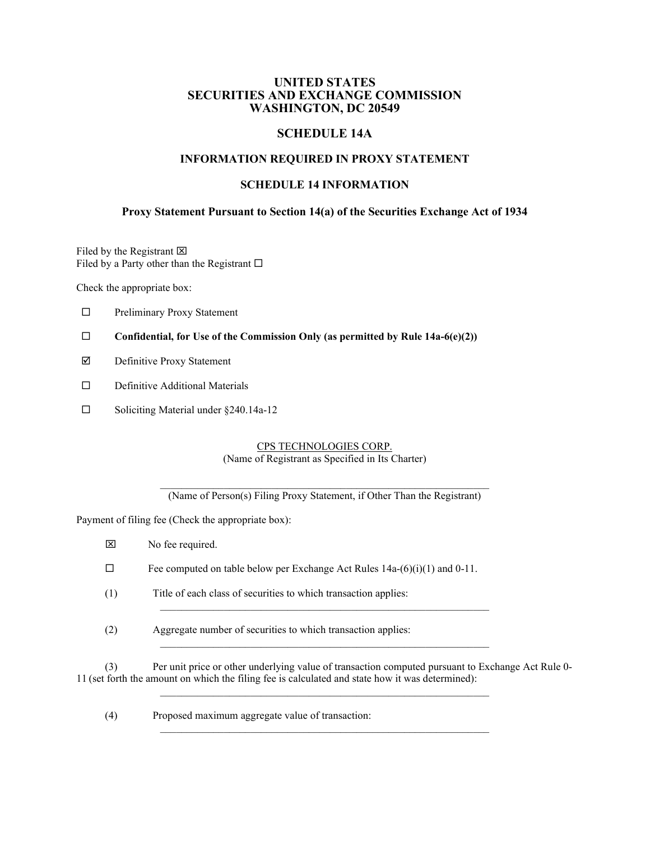# **UNITED STATES SECURITIES AND EXCHANGE COMMISSION WASHINGTON, DC 20549**

# **SCHEDULE 14A**

## **INFORMATION REQUIRED IN PROXY STATEMENT**

# **SCHEDULE 14 INFORMATION**

# **Proxy Statement Pursuant to Section 14(a) of the Securities Exchange Act of 1934**

Filed by the Registrant  $\boxtimes$ Filed by a Party other than the Registrant  $\square$ 

Check the appropriate box:

- Preliminary Proxy Statement
- **Confidential, for Use of the Commission Only (as permitted by Rule 14a-6(e)(2))**
- Definitive Proxy Statement
- Definitive Additional Materials
- □ Soliciting Material under §240.14a-12

## CPS TECHNOLOGIES CORP. (Name of Registrant as Specified in Its Charter)

\_\_\_\_\_\_\_\_\_\_\_\_\_\_\_\_\_\_\_\_\_\_\_\_\_\_\_\_\_\_\_\_\_\_\_\_\_\_\_\_\_\_\_\_\_\_\_\_\_\_\_\_\_\_\_\_\_\_\_\_\_\_ (Name of Person(s) Filing Proxy Statement, if Other Than the Registrant)

Payment of filing fee (Check the appropriate box):

| No fee required.                                                                |
|---------------------------------------------------------------------------------|
| Fee computed on table below per Exchange Act Rules $14a-(6)(i)(1)$ and $0-11$ . |
| Title of each class of securities to which transaction applies:                 |
| Aggregate number of securities to which transaction applies:                    |

(3) Per unit price or other underlying value of transaction computed pursuant to Exchange Act Rule 0- 11 (set forth the amount on which the filing fee is calculated and state how it was determined):  $\_$  , and the set of the set of the set of the set of the set of the set of the set of the set of the set of the set of the set of the set of the set of the set of the set of the set of the set of the set of the set of th

 $\_$  , and the set of the set of the set of the set of the set of the set of the set of the set of the set of the set of the set of the set of the set of the set of the set of the set of the set of the set of the set of th

(4) Proposed maximum aggregate value of transaction: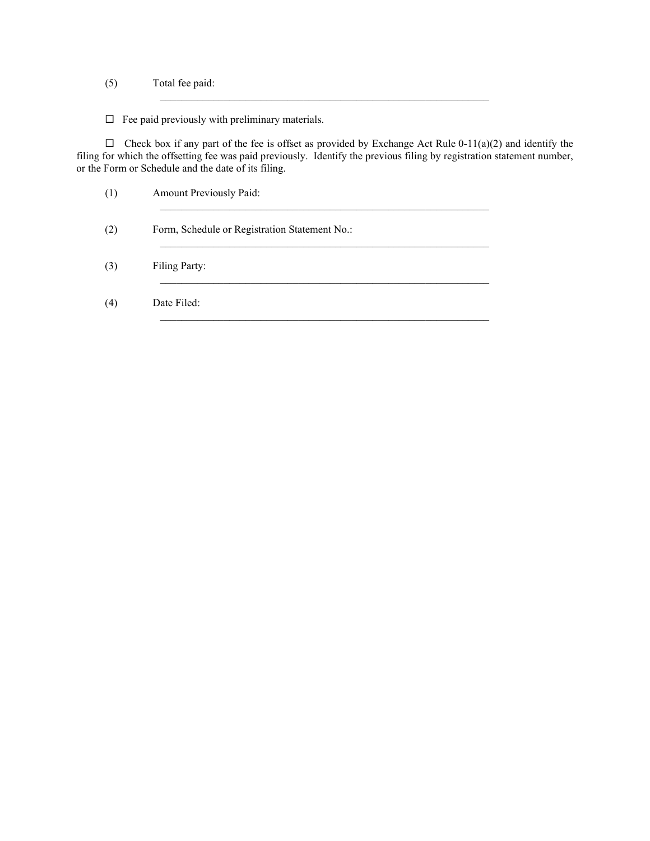- (5) Total fee paid:
- $\Box$  Fee paid previously with preliminary materials.

 $\Box$  Check box if any part of the fee is offset as provided by Exchange Act Rule 0-11(a)(2) and identify the filing for which the offsetting fee was paid previously. Identify the previous filing by registration statement number, or the Form or Schedule and the date of its filing.

 $\_$  , and the set of the set of the set of the set of the set of the set of the set of the set of the set of the set of the set of the set of the set of the set of the set of the set of the set of the set of the set of th

| (1) | Amount Previously Paid:                       |
|-----|-----------------------------------------------|
| (2) | Form, Schedule or Registration Statement No.: |
| (3) | Filing Party:                                 |
| (4) | Date Filed:                                   |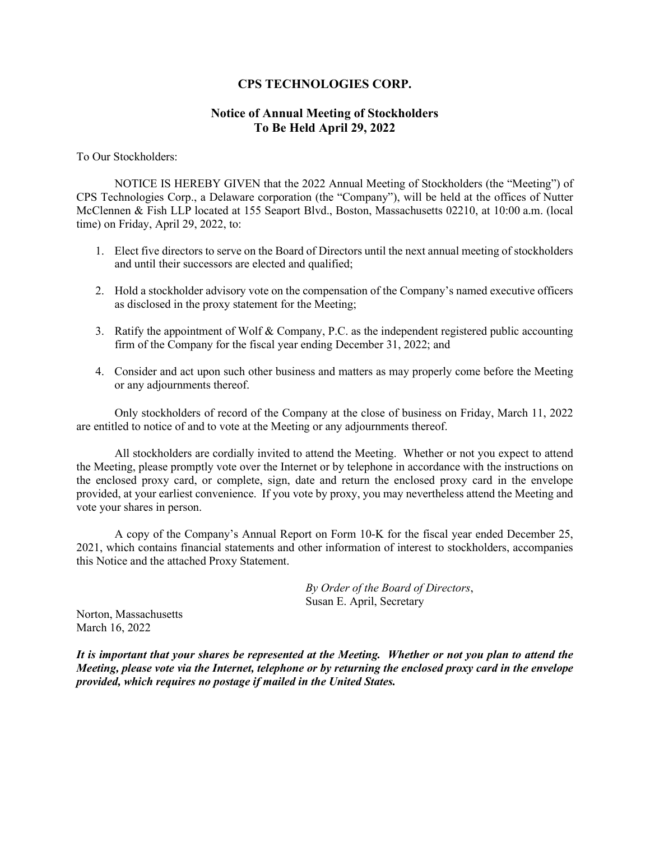# **CPS TECHNOLOGIES CORP.**

# **Notice of Annual Meeting of Stockholders To Be Held April 29, 2022**

To Our Stockholders:

NOTICE IS HEREBY GIVEN that the 2022 Annual Meeting of Stockholders (the "Meeting") of CPS Technologies Corp., a Delaware corporation (the "Company"), will be held at the offices of Nutter McClennen & Fish LLP located at 155 Seaport Blvd., Boston, Massachusetts 02210, at 10:00 a.m. (local time) on Friday, April 29, 2022, to:

- 1. Elect five directors to serve on the Board of Directors until the next annual meeting of stockholders and until their successors are elected and qualified;
- 2. Hold a stockholder advisory vote on the compensation of the Company's named executive officers as disclosed in the proxy statement for the Meeting;
- 3. Ratify the appointment of Wolf & Company, P.C. as the independent registered public accounting firm of the Company for the fiscal year ending December 31, 2022; and
- 4. Consider and act upon such other business and matters as may properly come before the Meeting or any adjournments thereof.

Only stockholders of record of the Company at the close of business on Friday, March 11, 2022 are entitled to notice of and to vote at the Meeting or any adjournments thereof.

All stockholders are cordially invited to attend the Meeting. Whether or not you expect to attend the Meeting, please promptly vote over the Internet or by telephone in accordance with the instructions on the enclosed proxy card, or complete, sign, date and return the enclosed proxy card in the envelope provided, at your earliest convenience. If you vote by proxy, you may nevertheless attend the Meeting and vote your shares in person.

A copy of the Company's Annual Report on Form 10-K for the fiscal year ended December 25, 2021, which contains financial statements and other information of interest to stockholders, accompanies this Notice and the attached Proxy Statement.

> *By Order of the Board of Directors*, Susan E. April, Secretary

Norton, Massachusetts March 16, 2022

*It is important that your shares be represented at the Meeting. Whether or not you plan to attend the Meeting, please vote via the Internet, telephone or by returning the enclosed proxy card in the envelope provided, which requires no postage if mailed in the United States.*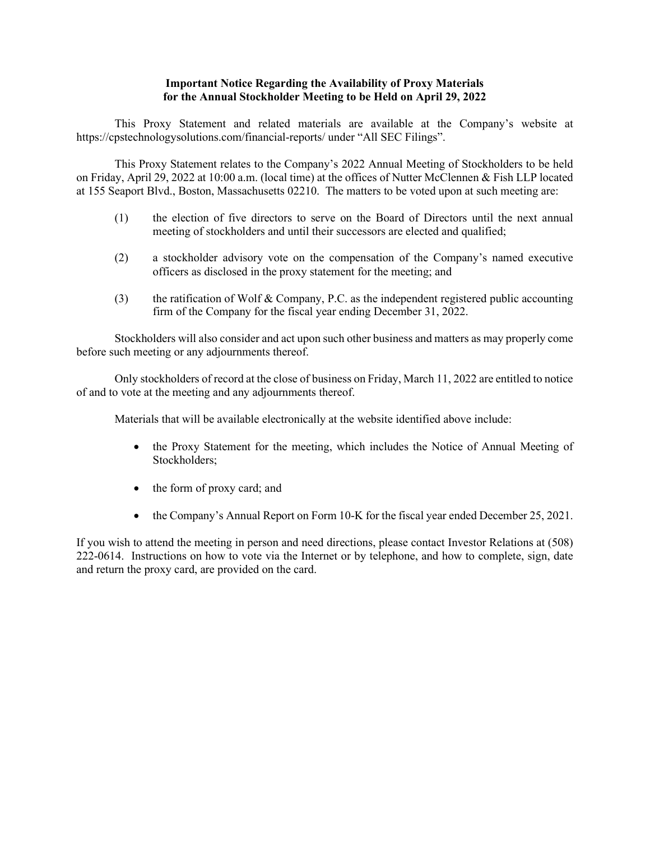## **Important Notice Regarding the Availability of Proxy Materials for the Annual Stockholder Meeting to be Held on April 29, 2022**

This Proxy Statement and related materials are available at the Company's website at https://cpstechnologysolutions.com/financial-reports/ under "All SEC Filings".

This Proxy Statement relates to the Company's 2022 Annual Meeting of Stockholders to be held on Friday, April 29, 2022 at 10:00 a.m. (local time) at the offices of Nutter McClennen & Fish LLP located at 155 Seaport Blvd., Boston, Massachusetts 02210. The matters to be voted upon at such meeting are:

- (1) the election of five directors to serve on the Board of Directors until the next annual meeting of stockholders and until their successors are elected and qualified;
- (2) a stockholder advisory vote on the compensation of the Company's named executive officers as disclosed in the proxy statement for the meeting; and
- (3) the ratification of Wolf & Company, P.C. as the independent registered public accounting firm of the Company for the fiscal year ending December 31, 2022.

Stockholders will also consider and act upon such other business and matters as may properly come before such meeting or any adjournments thereof.

Only stockholders of record at the close of business on Friday, March 11, 2022 are entitled to notice of and to vote at the meeting and any adjournments thereof.

Materials that will be available electronically at the website identified above include:

- the Proxy Statement for the meeting, which includes the Notice of Annual Meeting of Stockholders;
- the form of proxy card; and
- the Company's Annual Report on Form 10-K for the fiscal year ended December 25, 2021.

If you wish to attend the meeting in person and need directions, please contact Investor Relations at (508) 222-0614. Instructions on how to vote via the Internet or by telephone, and how to complete, sign, date and return the proxy card, are provided on the card.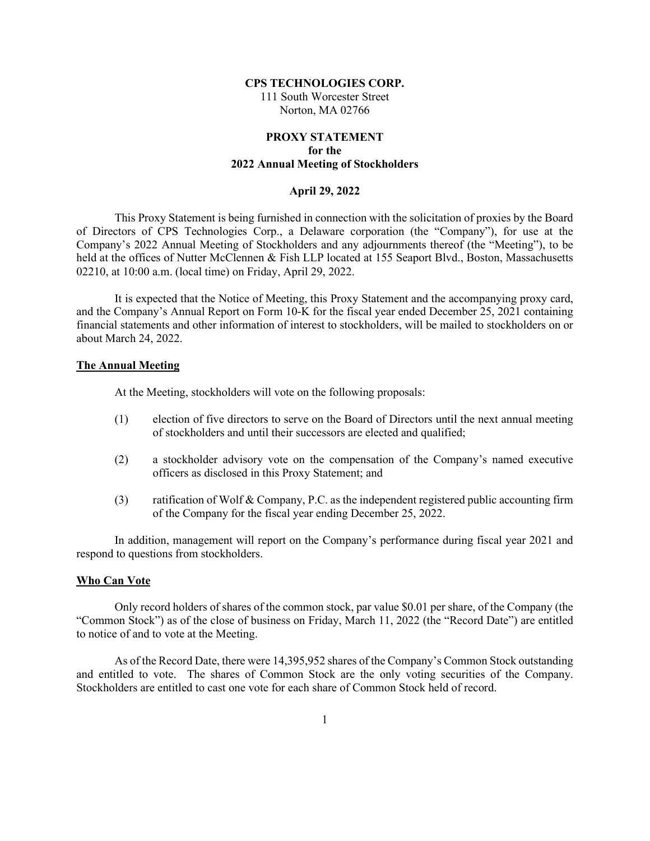## **CPS TECHNOLOGIES CORP.**

111 South Worcester Street Norton, MA 02766

# **PROXY STATEMENT for the 2022 Annual Meeting of Stockholders**

#### **April 29, 2022**

This Proxy Statement is being furnished in connection with the solicitation of proxies by the Board of Directors of CPS Technologies Corp., a Delaware corporation (the "Company"), for use at the Company's 2022 Annual Meeting of Stockholders and any adjournments thereof (the "Meeting"), to be held at the offices of Nutter McClennen & Fish LLP located at 155 Seaport Blvd., Boston, Massachusetts 02210, at 10:00 a.m. (local time) on Friday, April 29, 2022.

It is expected that the Notice of Meeting, this Proxy Statement and the accompanying proxy card, and the Company's Annual Report on Form 10-K for the fiscal year ended December 25, 2021 containing financial statements and other information of interest to stockholders, will be mailed to stockholders on or about March 24, 2022.

## **The Annual Meeting**

At the Meeting, stockholders will vote on the following proposals:

- (1) election of five directors to serve on the Board of Directors until the next annual meeting of stockholders and until their successors are elected and qualified;
- (2) a stockholder advisory vote on the compensation of the Company's named executive officers as disclosed in this Proxy Statement; and
- (3) ratification of Wolf & Company, P.C. as the independent registered public accounting firm of the Company for the fiscal year ending December 25, 2022.

In addition, management will report on the Company's performance during fiscal year 2021 and respond to questions from stockholders.

## **Who Can Vote**

Only record holders of shares of the common stock, par value \$0.01 per share, of the Company (the "Common Stock") as of the close of business on Friday, March 11, 2022 (the "Record Date") are entitled to notice of and to vote at the Meeting.

As of the Record Date, there were 14,395,952 shares of the Company's Common Stock outstanding and entitled to vote. The shares of Common Stock are the only voting securities of the Company. Stockholders are entitled to cast one vote for each share of Common Stock held of record.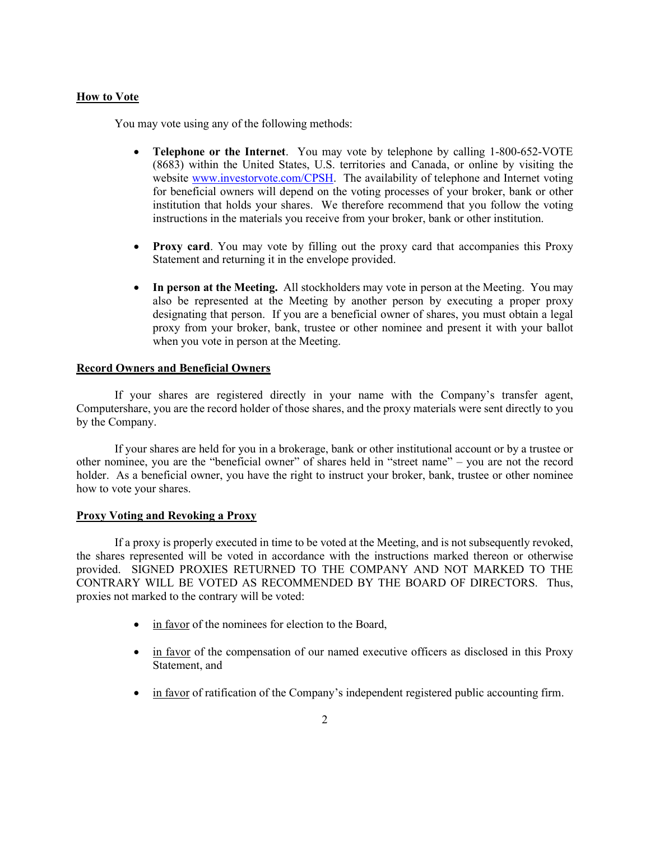## **How to Vote**

You may vote using any of the following methods:

- **Telephone or the Internet**. You may vote by telephone by calling 1-800-652-VOTE (8683) within the United States, U.S. territories and Canada, or online by visiting the website [www.investorvote.com/CPSH.](http://www.investorvote.com/CPSH) The availability of telephone and Internet voting for beneficial owners will depend on the voting processes of your broker, bank or other institution that holds your shares. We therefore recommend that you follow the voting instructions in the materials you receive from your broker, bank or other institution.
- **Proxy card**. You may vote by filling out the proxy card that accompanies this Proxy Statement and returning it in the envelope provided.
- In person at the Meeting. All stockholders may vote in person at the Meeting. You may also be represented at the Meeting by another person by executing a proper proxy designating that person. If you are a beneficial owner of shares, you must obtain a legal proxy from your broker, bank, trustee or other nominee and present it with your ballot when you vote in person at the Meeting.

## **Record Owners and Beneficial Owners**

If your shares are registered directly in your name with the Company's transfer agent, Computershare, you are the record holder of those shares, and the proxy materials were sent directly to you by the Company.

If your shares are held for you in a brokerage, bank or other institutional account or by a trustee or other nominee, you are the "beneficial owner" of shares held in "street name" – you are not the record holder. As a beneficial owner, you have the right to instruct your broker, bank, trustee or other nominee how to vote your shares.

## **Proxy Voting and Revoking a Proxy**

If a proxy is properly executed in time to be voted at the Meeting, and is not subsequently revoked, the shares represented will be voted in accordance with the instructions marked thereon or otherwise provided. SIGNED PROXIES RETURNED TO THE COMPANY AND NOT MARKED TO THE CONTRARY WILL BE VOTED AS RECOMMENDED BY THE BOARD OF DIRECTORS. Thus, proxies not marked to the contrary will be voted:

- in favor of the nominees for election to the Board,
- in favor of the compensation of our named executive officers as disclosed in this Proxy Statement, and
- in favor of ratification of the Company's independent registered public accounting firm.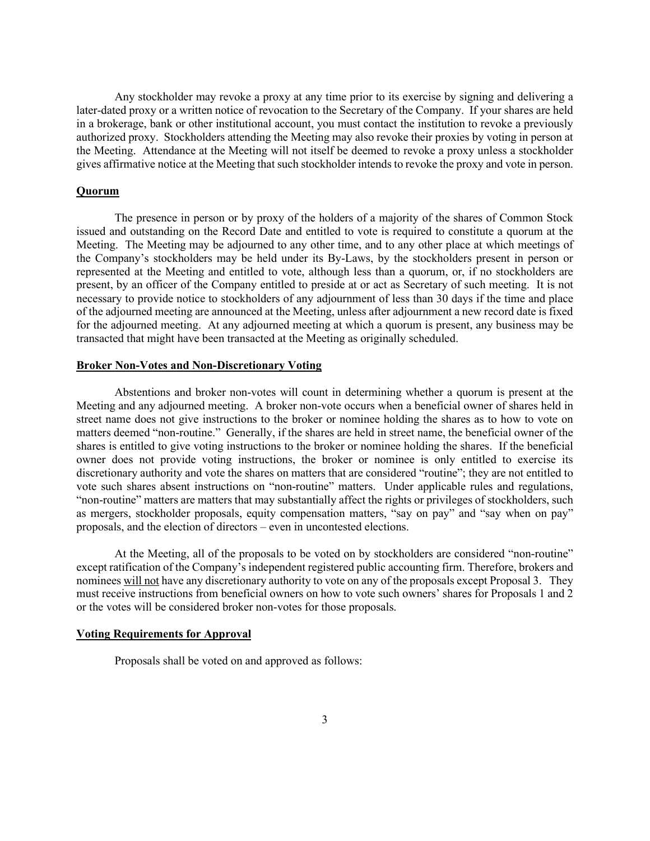Any stockholder may revoke a proxy at any time prior to its exercise by signing and delivering a later-dated proxy or a written notice of revocation to the Secretary of the Company. If your shares are held in a brokerage, bank or other institutional account, you must contact the institution to revoke a previously authorized proxy. Stockholders attending the Meeting may also revoke their proxies by voting in person at the Meeting. Attendance at the Meeting will not itself be deemed to revoke a proxy unless a stockholder gives affirmative notice at the Meeting that such stockholder intends to revoke the proxy and vote in person.

### **Quorum**

The presence in person or by proxy of the holders of a majority of the shares of Common Stock issued and outstanding on the Record Date and entitled to vote is required to constitute a quorum at the Meeting. The Meeting may be adjourned to any other time, and to any other place at which meetings of the Company's stockholders may be held under its By-Laws, by the stockholders present in person or represented at the Meeting and entitled to vote, although less than a quorum, or, if no stockholders are present, by an officer of the Company entitled to preside at or act as Secretary of such meeting. It is not necessary to provide notice to stockholders of any adjournment of less than 30 days if the time and place of the adjourned meeting are announced at the Meeting, unless after adjournment a new record date is fixed for the adjourned meeting. At any adjourned meeting at which a quorum is present, any business may be transacted that might have been transacted at the Meeting as originally scheduled.

## **Broker Non-Votes and Non-Discretionary Voting**

Abstentions and broker non-votes will count in determining whether a quorum is present at the Meeting and any adjourned meeting. A broker non-vote occurs when a beneficial owner of shares held in street name does not give instructions to the broker or nominee holding the shares as to how to vote on matters deemed "non-routine." Generally, if the shares are held in street name, the beneficial owner of the shares is entitled to give voting instructions to the broker or nominee holding the shares. If the beneficial owner does not provide voting instructions, the broker or nominee is only entitled to exercise its discretionary authority and vote the shares on matters that are considered "routine"; they are not entitled to vote such shares absent instructions on "non-routine" matters. Under applicable rules and regulations, "non-routine" matters are matters that may substantially affect the rights or privileges of stockholders, such as mergers, stockholder proposals, equity compensation matters, "say on pay" and "say when on pay" proposals, and the election of directors – even in uncontested elections.

At the Meeting, all of the proposals to be voted on by stockholders are considered "non-routine" except ratification of the Company's independent registered public accounting firm. Therefore, brokers and nominees will not have any discretionary authority to vote on any of the proposals except Proposal 3. They must receive instructions from beneficial owners on how to vote such owners' shares for Proposals 1 and 2 or the votes will be considered broker non-votes for those proposals.

## **Voting Requirements for Approval**

Proposals shall be voted on and approved as follows: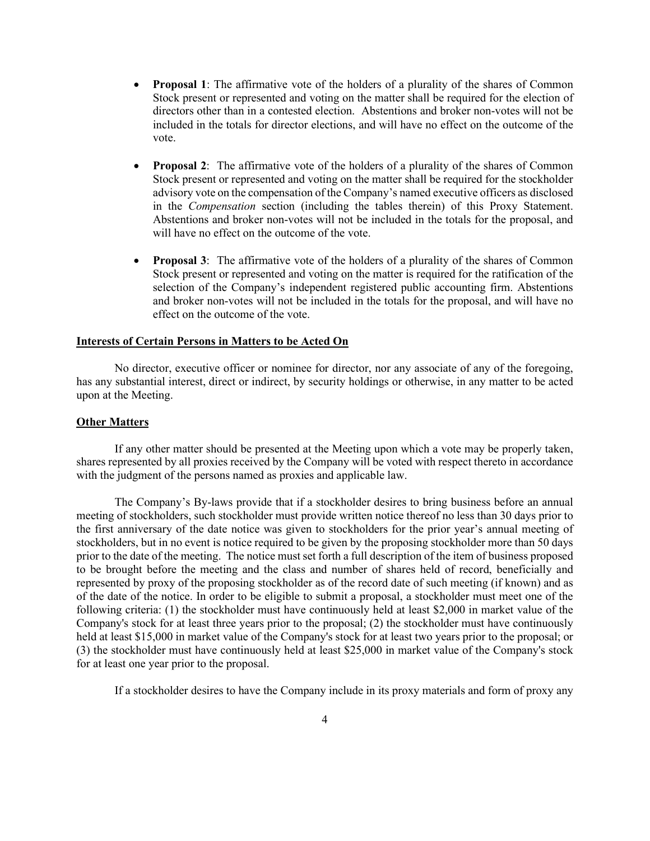- **Proposal 1**: The affirmative vote of the holders of a plurality of the shares of Common Stock present or represented and voting on the matter shall be required for the election of directors other than in a contested election. Abstentions and broker non-votes will not be included in the totals for director elections, and will have no effect on the outcome of the vote.
- **Proposal 2:** The affirmative vote of the holders of a plurality of the shares of Common Stock present or represented and voting on the matter shall be required for the stockholder advisory vote on the compensation of the Company's named executive officers as disclosed in the *Compensation* section (including the tables therein) of this Proxy Statement. Abstentions and broker non-votes will not be included in the totals for the proposal, and will have no effect on the outcome of the vote.
- **Proposal 3:** The affirmative vote of the holders of a plurality of the shares of Common Stock present or represented and voting on the matter is required for the ratification of the selection of the Company's independent registered public accounting firm. Abstentions and broker non-votes will not be included in the totals for the proposal, and will have no effect on the outcome of the vote.

## **Interests of Certain Persons in Matters to be Acted On**

No director, executive officer or nominee for director, nor any associate of any of the foregoing, has any substantial interest, direct or indirect, by security holdings or otherwise, in any matter to be acted upon at the Meeting.

## **Other Matters**

If any other matter should be presented at the Meeting upon which a vote may be properly taken, shares represented by all proxies received by the Company will be voted with respect thereto in accordance with the judgment of the persons named as proxies and applicable law.

The Company's By-laws provide that if a stockholder desires to bring business before an annual meeting of stockholders, such stockholder must provide written notice thereof no less than 30 days prior to the first anniversary of the date notice was given to stockholders for the prior year's annual meeting of stockholders, but in no event is notice required to be given by the proposing stockholder more than 50 days prior to the date of the meeting. The notice must set forth a full description of the item of business proposed to be brought before the meeting and the class and number of shares held of record, beneficially and represented by proxy of the proposing stockholder as of the record date of such meeting (if known) and as of the date of the notice. In order to be eligible to submit a proposal, a stockholder must meet one of the following criteria: (1) the stockholder must have continuously held at least \$2,000 in market value of the Company's stock for at least three years prior to the proposal; (2) the stockholder must have continuously held at least \$15,000 in market value of the Company's stock for at least two years prior to the proposal; or (3) the stockholder must have continuously held at least \$25,000 in market value of the Company's stock for at least one year prior to the proposal.

If a stockholder desires to have the Company include in its proxy materials and form of proxy any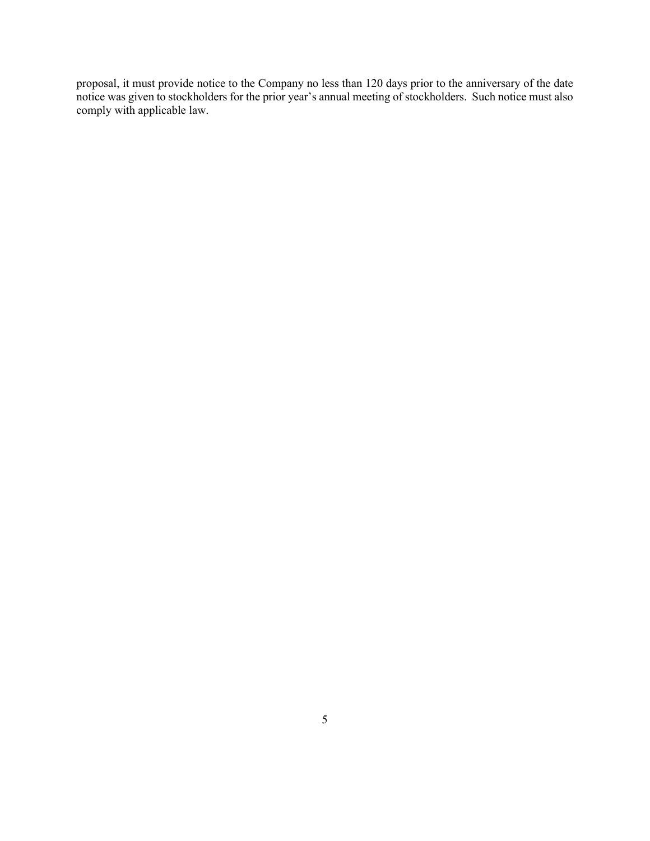proposal, it must provide notice to the Company no less than 120 days prior to the anniversary of the date notice was given to stockholders for the prior year's annual meeting of stockholders. Such notice must also comply with applicable law.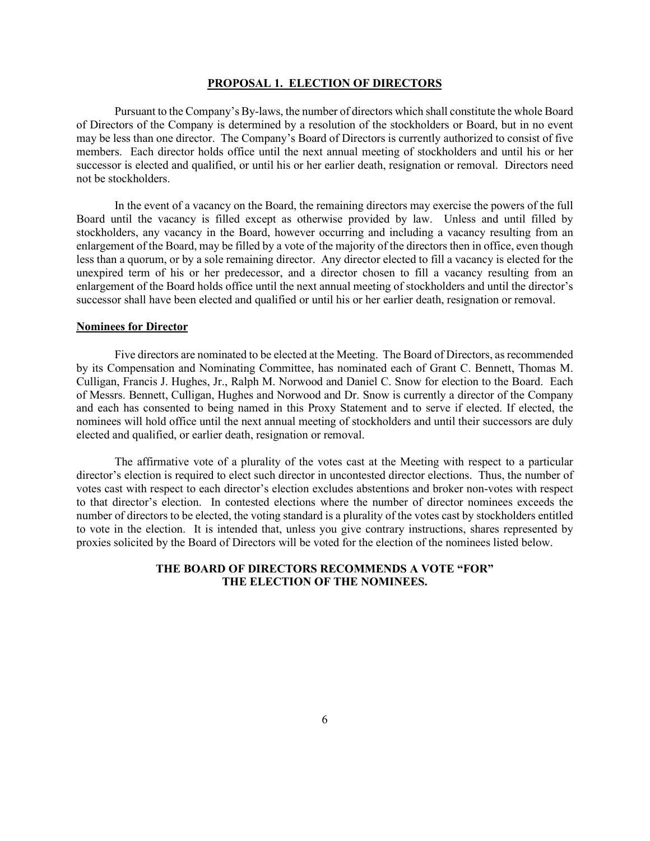## **PROPOSAL 1. ELECTION OF DIRECTORS**

Pursuant to the Company's By-laws, the number of directors which shall constitute the whole Board of Directors of the Company is determined by a resolution of the stockholders or Board, but in no event may be less than one director. The Company's Board of Directors is currently authorized to consist of five members. Each director holds office until the next annual meeting of stockholders and until his or her successor is elected and qualified, or until his or her earlier death, resignation or removal. Directors need not be stockholders.

In the event of a vacancy on the Board, the remaining directors may exercise the powers of the full Board until the vacancy is filled except as otherwise provided by law. Unless and until filled by stockholders, any vacancy in the Board, however occurring and including a vacancy resulting from an enlargement of the Board, may be filled by a vote of the majority of the directors then in office, even though less than a quorum, or by a sole remaining director. Any director elected to fill a vacancy is elected for the unexpired term of his or her predecessor, and a director chosen to fill a vacancy resulting from an enlargement of the Board holds office until the next annual meeting of stockholders and until the director's successor shall have been elected and qualified or until his or her earlier death, resignation or removal.

## **Nominees for Director**

Five directors are nominated to be elected at the Meeting. The Board of Directors, as recommended by its Compensation and Nominating Committee, has nominated each of Grant C. Bennett, Thomas M. Culligan, Francis J. Hughes, Jr., Ralph M. Norwood and Daniel C. Snow for election to the Board. Each of Messrs. Bennett, Culligan, Hughes and Norwood and Dr. Snow is currently a director of the Company and each has consented to being named in this Proxy Statement and to serve if elected. If elected, the nominees will hold office until the next annual meeting of stockholders and until their successors are duly elected and qualified, or earlier death, resignation or removal.

The affirmative vote of a plurality of the votes cast at the Meeting with respect to a particular director's election is required to elect such director in uncontested director elections. Thus, the number of votes cast with respect to each director's election excludes abstentions and broker non-votes with respect to that director's election. In contested elections where the number of director nominees exceeds the number of directors to be elected, the voting standard is a plurality of the votes cast by stockholders entitled to vote in the election. It is intended that, unless you give contrary instructions, shares represented by proxies solicited by the Board of Directors will be voted for the election of the nominees listed below.

## **THE BOARD OF DIRECTORS RECOMMENDS A VOTE "FOR" THE ELECTION OF THE NOMINEES.**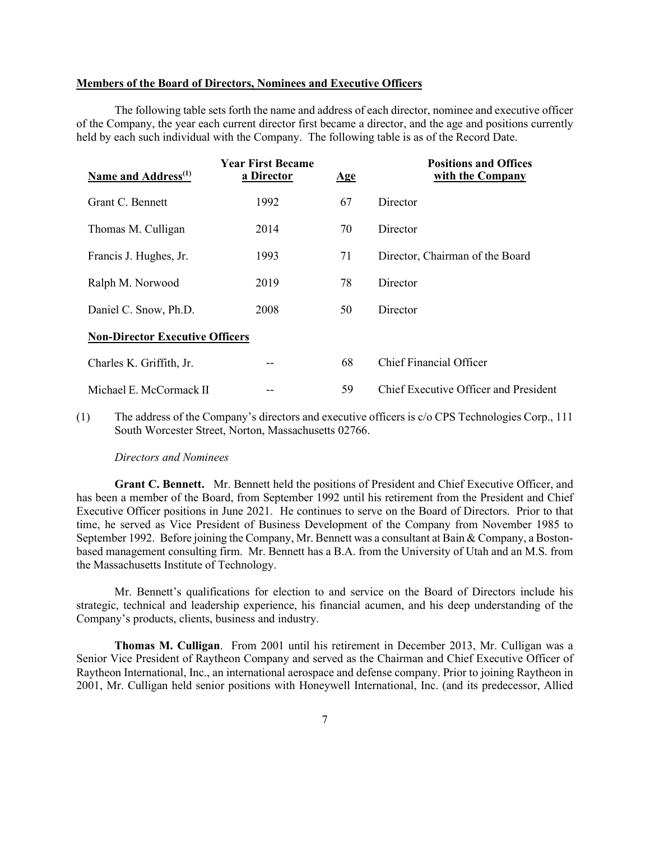### **Members of the Board of Directors, Nominees and Executive Officers**

The following table sets forth the name and address of each director, nominee and executive officer of the Company, the year each current director first became a director, and the age and positions currently held by each such individual with the Company. The following table is as of the Record Date.

| Name and Address <sup>(1)</sup>        | <b>Year First Became</b><br>a Director | $\mathbf{Age}$ | <b>Positions and Offices</b><br>with the Company |  |  |
|----------------------------------------|----------------------------------------|----------------|--------------------------------------------------|--|--|
| Grant C. Bennett                       | 1992                                   | 67             | Director                                         |  |  |
| Thomas M. Culligan                     | 2014                                   | 70             | Director                                         |  |  |
| Francis J. Hughes, Jr.                 | 1993                                   | 71             | Director, Chairman of the Board                  |  |  |
| Ralph M. Norwood                       | 2019                                   | 78             | Director                                         |  |  |
| Daniel C. Snow, Ph.D.                  | 2008                                   | 50             | Director                                         |  |  |
| <b>Non-Director Executive Officers</b> |                                        |                |                                                  |  |  |
| Charles K. Griffith, Jr.               | --                                     | 68             | Chief Financial Officer                          |  |  |
| Michael E. McCormack II                |                                        | 59             | Chief Executive Officer and President            |  |  |

(1) The address of the Company's directors and executive officers is c/o CPS Technologies Corp., 111 South Worcester Street, Norton, Massachusetts 02766.

### *Directors and Nominees*

**Grant C. Bennett.** Mr. Bennett held the positions of President and Chief Executive Officer, and has been a member of the Board, from September 1992 until his retirement from the President and Chief Executive Officer positions in June 2021. He continues to serve on the Board of Directors. Prior to that time, he served as Vice President of Business Development of the Company from November 1985 to September 1992. Before joining the Company, Mr. Bennett was a consultant at Bain & Company, a Bostonbased management consulting firm. Mr. Bennett has a B.A. from the University of Utah and an M.S. from the Massachusetts Institute of Technology.

Mr. Bennett's qualifications for election to and service on the Board of Directors include his strategic, technical and leadership experience, his financial acumen, and his deep understanding of the Company's products, clients, business and industry.

**Thomas M. Culligan**. From 2001 until his retirement in December 2013, Mr. Culligan was a Senior Vice President of Raytheon Company and served as the Chairman and Chief Executive Officer of Raytheon International, Inc., an international aerospace and defense company. Prior to joining Raytheon in 2001, Mr. Culligan held senior positions with Honeywell International, Inc. (and its predecessor, Allied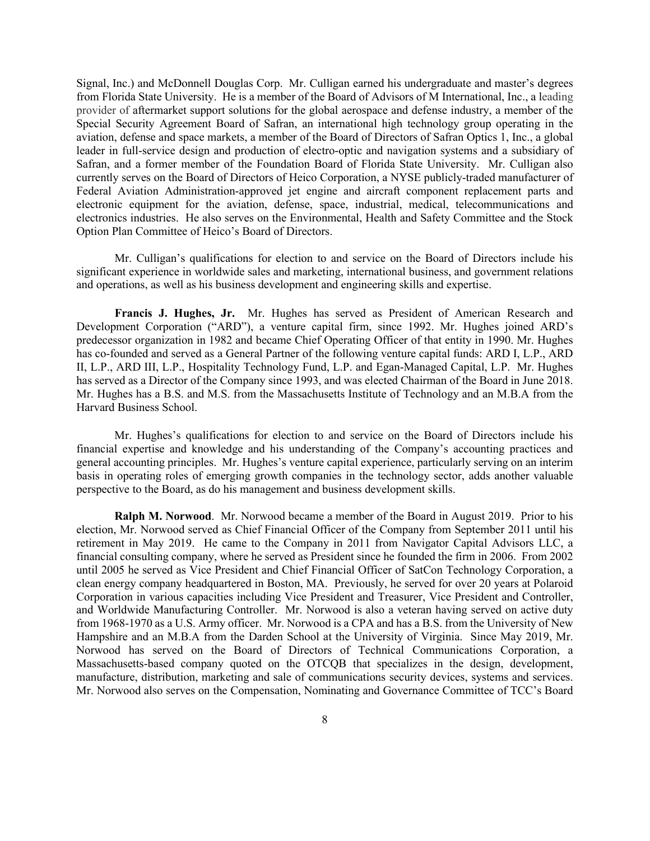Signal, Inc.) and McDonnell Douglas Corp. Mr. Culligan earned his undergraduate and master's degrees from Florida State University. He is a member of the Board of Advisors of M International, Inc., a leading provider of aftermarket support solutions for the global aerospace and defense industry, a member of the Special Security Agreement Board of Safran, an international high technology group operating in the aviation, defense and space markets, a member of the Board of Directors of Safran Optics 1, Inc., a global leader in full-service design and production of electro-optic and navigation systems and a subsidiary of Safran, and a former member of the Foundation Board of Florida State University. Mr. Culligan also currently serves on the Board of Directors of Heico Corporation, a NYSE publicly-traded manufacturer of Federal Aviation Administration-approved jet engine and aircraft component replacement parts and electronic equipment for the aviation, defense, space, industrial, medical, telecommunications and electronics industries. He also serves on the Environmental, Health and Safety Committee and the Stock Option Plan Committee of Heico's Board of Directors.

Mr. Culligan's qualifications for election to and service on the Board of Directors include his significant experience in worldwide sales and marketing, international business, and government relations and operations, as well as his business development and engineering skills and expertise.

**Francis J. Hughes, Jr.** Mr. Hughes has served as President of American Research and Development Corporation ("ARD"), a venture capital firm, since 1992. Mr. Hughes joined ARD's predecessor organization in 1982 and became Chief Operating Officer of that entity in 1990. Mr. Hughes has co-founded and served as a General Partner of the following venture capital funds: ARD I, L.P., ARD II, L.P., ARD III, L.P., Hospitality Technology Fund, L.P. and Egan-Managed Capital, L.P. Mr. Hughes has served as a Director of the Company since 1993, and was elected Chairman of the Board in June 2018. Mr. Hughes has a B.S. and M.S. from the Massachusetts Institute of Technology and an M.B.A from the Harvard Business School.

Mr. Hughes's qualifications for election to and service on the Board of Directors include his financial expertise and knowledge and his understanding of the Company's accounting practices and general accounting principles. Mr. Hughes's venture capital experience, particularly serving on an interim basis in operating roles of emerging growth companies in the technology sector, adds another valuable perspective to the Board, as do his management and business development skills.

**Ralph M. Norwood**. Mr. Norwood became a member of the Board in August 2019. Prior to his election, Mr. Norwood served as Chief Financial Officer of the Company from September 2011 until his retirement in May 2019. He came to the Company in 2011 from Navigator Capital Advisors LLC, a financial consulting company, where he served as President since he founded the firm in 2006. From 2002 until 2005 he served as Vice President and Chief Financial Officer of SatCon Technology Corporation, a clean energy company headquartered in Boston, MA. Previously, he served for over 20 years at Polaroid Corporation in various capacities including Vice President and Treasurer, Vice President and Controller, and Worldwide Manufacturing Controller. Mr. Norwood is also a veteran having served on active duty from 1968-1970 as a U.S. Army officer. Mr. Norwood is a CPA and has a B.S. from the University of New Hampshire and an M.B.A from the Darden School at the University of Virginia. Since May 2019, Mr. Norwood has served on the Board of Directors of Technical Communications Corporation, a Massachusetts-based company quoted on the OTCQB that specializes in the design, development, manufacture, distribution, marketing and sale of communications security devices, systems and services. Mr. Norwood also serves on the Compensation, Nominating and Governance Committee of TCC's Board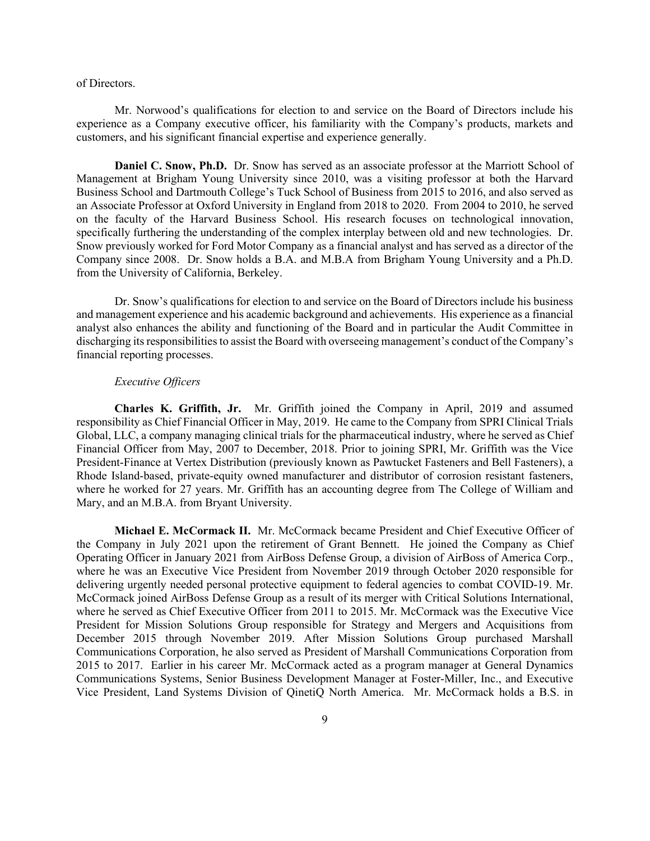#### of Directors.

Mr. Norwood's qualifications for election to and service on the Board of Directors include his experience as a Company executive officer, his familiarity with the Company's products, markets and customers, and his significant financial expertise and experience generally.

**Daniel C. Snow, Ph.D.** Dr. Snow has served as an associate professor at the Marriott School of Management at Brigham Young University since 2010, was a visiting professor at both the Harvard Business School and Dartmouth College's Tuck School of Business from 2015 to 2016, and also served as an Associate Professor at Oxford University in England from 2018 to 2020. From 2004 to 2010, he served on the faculty of the Harvard Business School. His research focuses on technological innovation, specifically furthering the understanding of the complex interplay between old and new technologies. Dr. Snow previously worked for Ford Motor Company as a financial analyst and has served as a director of the Company since 2008. Dr. Snow holds a B.A. and M.B.A from Brigham Young University and a Ph.D. from the University of California, Berkeley.

Dr. Snow's qualifications for election to and service on the Board of Directors include his business and management experience and his academic background and achievements. His experience as a financial analyst also enhances the ability and functioning of the Board and in particular the Audit Committee in discharging its responsibilities to assist the Board with overseeing management's conduct of the Company's financial reporting processes.

## *Executive Officers*

**Charles K. Griffith, Jr.** Mr. Griffith joined the Company in April, 2019 and assumed responsibility as Chief Financial Officer in May, 2019. He came to the Company from SPRI Clinical Trials Global, LLC, a company managing clinical trials for the pharmaceutical industry, where he served as Chief Financial Officer from May, 2007 to December, 2018. Prior to joining SPRI, Mr. Griffith was the Vice President-Finance at Vertex Distribution (previously known as Pawtucket Fasteners and Bell Fasteners), a Rhode Island-based, private-equity owned manufacturer and distributor of corrosion resistant fasteners, where he worked for 27 years. Mr. Griffith has an accounting degree from The College of William and Mary, and an M.B.A. from Bryant University.

**Michael E. McCormack II.** Mr. McCormack became President and Chief Executive Officer of the Company in July 2021 upon the retirement of Grant Bennett. He joined the Company as Chief Operating Officer in January 2021 from AirBoss Defense Group, a division of AirBoss of America Corp., where he was an Executive Vice President from November 2019 through October 2020 responsible for delivering urgently needed personal protective equipment to federal agencies to combat COVID-19. Mr. McCormack joined AirBoss Defense Group as a result of its merger with Critical Solutions International, where he served as Chief Executive Officer from 2011 to 2015. Mr. McCormack was the Executive Vice President for Mission Solutions Group responsible for Strategy and Mergers and Acquisitions from December 2015 through November 2019. After Mission Solutions Group purchased Marshall Communications Corporation, he also served as President of Marshall Communications Corporation from 2015 to 2017. Earlier in his career Mr. McCormack acted as a program manager at General Dynamics Communications Systems, Senior Business Development Manager at Foster-Miller, Inc., and Executive Vice President, Land Systems Division of QinetiQ North America. Mr. McCormack holds a B.S. in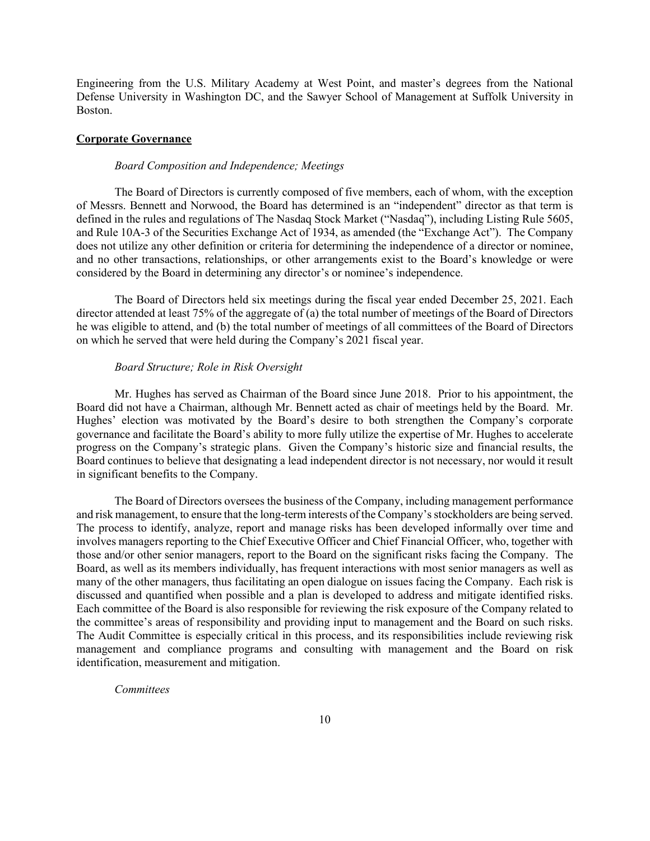Engineering from the U.S. Military Academy at West Point, and master's degrees from the National Defense University in Washington DC, and the Sawyer School of Management at Suffolk University in Boston.

## **Corporate Governance**

#### *Board Composition and Independence; Meetings*

The Board of Directors is currently composed of five members, each of whom, with the exception of Messrs. Bennett and Norwood, the Board has determined is an "independent" director as that term is defined in the rules and regulations of The Nasdaq Stock Market ("Nasdaq"), including Listing Rule 5605, and Rule 10A-3 of the Securities Exchange Act of 1934, as amended (the "Exchange Act"). The Company does not utilize any other definition or criteria for determining the independence of a director or nominee, and no other transactions, relationships, or other arrangements exist to the Board's knowledge or were considered by the Board in determining any director's or nominee's independence.

The Board of Directors held six meetings during the fiscal year ended December 25, 2021. Each director attended at least 75% of the aggregate of (a) the total number of meetings of the Board of Directors he was eligible to attend, and (b) the total number of meetings of all committees of the Board of Directors on which he served that were held during the Company's 2021 fiscal year.

### *Board Structure; Role in Risk Oversight*

Mr. Hughes has served as Chairman of the Board since June 2018. Prior to his appointment, the Board did not have a Chairman, although Mr. Bennett acted as chair of meetings held by the Board. Mr. Hughes' election was motivated by the Board's desire to both strengthen the Company's corporate governance and facilitate the Board's ability to more fully utilize the expertise of Mr. Hughes to accelerate progress on the Company's strategic plans. Given the Company's historic size and financial results, the Board continues to believe that designating a lead independent director is not necessary, nor would it result in significant benefits to the Company.

The Board of Directors oversees the business of the Company, including management performance and risk management, to ensure that the long-term interests of the Company's stockholders are being served. The process to identify, analyze, report and manage risks has been developed informally over time and involves managers reporting to the Chief Executive Officer and Chief Financial Officer, who, together with those and/or other senior managers, report to the Board on the significant risks facing the Company. The Board, as well as its members individually, has frequent interactions with most senior managers as well as many of the other managers, thus facilitating an open dialogue on issues facing the Company. Each risk is discussed and quantified when possible and a plan is developed to address and mitigate identified risks. Each committee of the Board is also responsible for reviewing the risk exposure of the Company related to the committee's areas of responsibility and providing input to management and the Board on such risks. The Audit Committee is especially critical in this process, and its responsibilities include reviewing risk management and compliance programs and consulting with management and the Board on risk identification, measurement and mitigation.

### *Committees*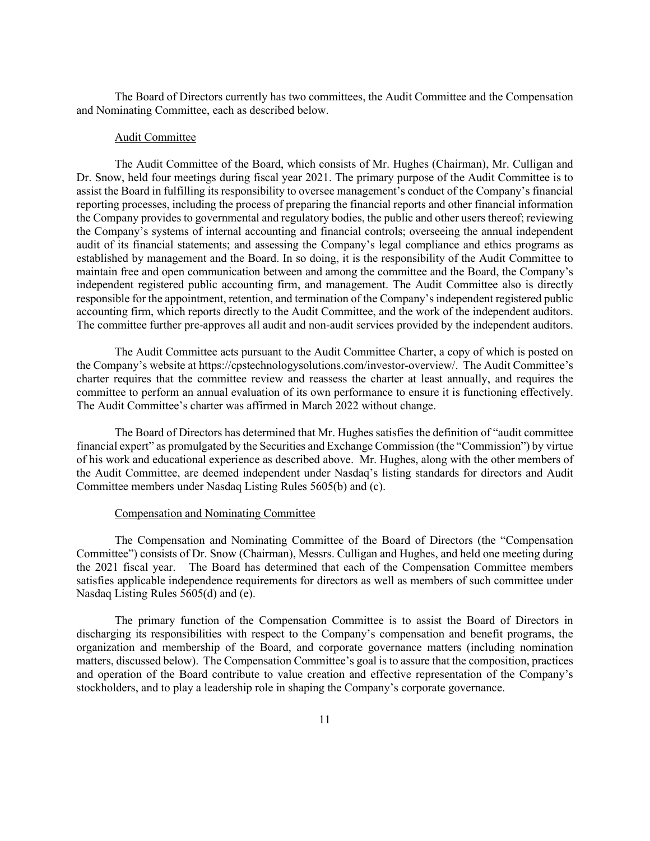The Board of Directors currently has two committees, the Audit Committee and the Compensation and Nominating Committee, each as described below.

#### Audit Committee

The Audit Committee of the Board, which consists of Mr. Hughes (Chairman), Mr. Culligan and Dr. Snow, held four meetings during fiscal year 2021. The primary purpose of the Audit Committee is to assist the Board in fulfilling its responsibility to oversee management's conduct of the Company's financial reporting processes, including the process of preparing the financial reports and other financial information the Company provides to governmental and regulatory bodies, the public and other users thereof; reviewing the Company's systems of internal accounting and financial controls; overseeing the annual independent audit of its financial statements; and assessing the Company's legal compliance and ethics programs as established by management and the Board. In so doing, it is the responsibility of the Audit Committee to maintain free and open communication between and among the committee and the Board, the Company's independent registered public accounting firm, and management. The Audit Committee also is directly responsible for the appointment, retention, and termination of the Company's independent registered public accounting firm, which reports directly to the Audit Committee, and the work of the independent auditors. The committee further pre-approves all audit and non-audit services provided by the independent auditors.

The Audit Committee acts pursuant to the Audit Committee Charter, a copy of which is posted on the Company's website at https://cpstechnologysolutions.com/investor-overview/. The Audit Committee's charter requires that the committee review and reassess the charter at least annually, and requires the committee to perform an annual evaluation of its own performance to ensure it is functioning effectively. The Audit Committee's charter was affirmed in March 2022 without change.

The Board of Directors has determined that Mr. Hughes satisfies the definition of "audit committee financial expert" as promulgated by the Securities and Exchange Commission (the "Commission") by virtue of his work and educational experience as described above. Mr. Hughes, along with the other members of the Audit Committee, are deemed independent under Nasdaq's listing standards for directors and Audit Committee members under Nasdaq Listing Rules 5605(b) and (c).

#### Compensation and Nominating Committee

The Compensation and Nominating Committee of the Board of Directors (the "Compensation Committee") consists of Dr. Snow (Chairman), Messrs. Culligan and Hughes, and held one meeting during the 2021 fiscal year. The Board has determined that each of the Compensation Committee members satisfies applicable independence requirements for directors as well as members of such committee under Nasdaq Listing Rules 5605(d) and (e).

The primary function of the Compensation Committee is to assist the Board of Directors in discharging its responsibilities with respect to the Company's compensation and benefit programs, the organization and membership of the Board, and corporate governance matters (including nomination matters, discussed below). The Compensation Committee's goal is to assure that the composition, practices and operation of the Board contribute to value creation and effective representation of the Company's stockholders, and to play a leadership role in shaping the Company's corporate governance.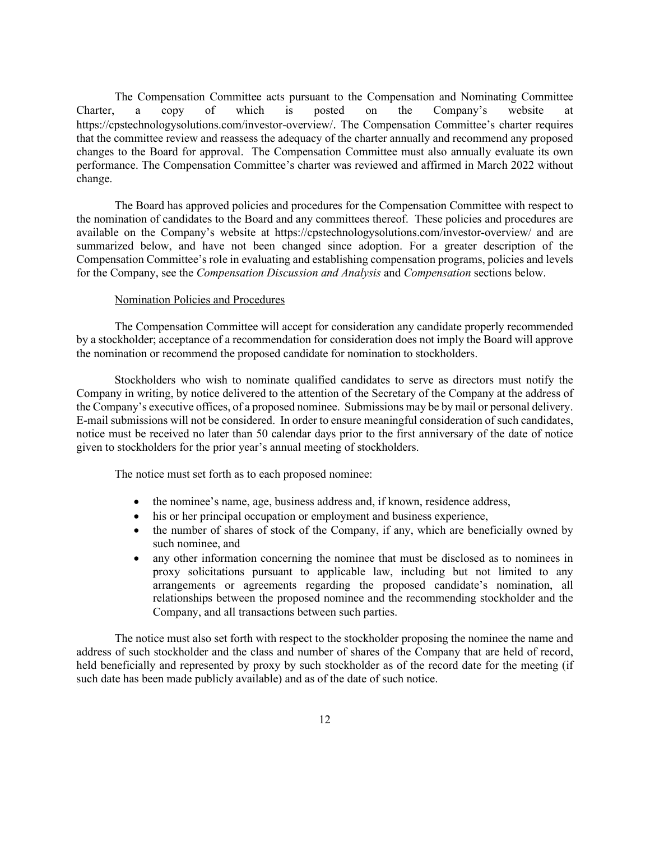The Compensation Committee acts pursuant to the Compensation and Nominating Committee Charter, a copy of which is posted on the Company's website at https://cpstechnologysolutions.com/investor-overview/. The Compensation Committee's charter requires that the committee review and reassess the adequacy of the charter annually and recommend any proposed changes to the Board for approval. The Compensation Committee must also annually evaluate its own performance. The Compensation Committee's charter was reviewed and affirmed in March 2022 without change.

The Board has approved policies and procedures for the Compensation Committee with respect to the nomination of candidates to the Board and any committees thereof. These policies and procedures are available on the Company's website at https://cpstechnologysolutions.com/investor-overview/ and are summarized below, and have not been changed since adoption. For a greater description of the Compensation Committee's role in evaluating and establishing compensation programs, policies and levels for the Company, see the *Compensation Discussion and Analysis* and *Compensation* sections below.

#### Nomination Policies and Procedures

The Compensation Committee will accept for consideration any candidate properly recommended by a stockholder; acceptance of a recommendation for consideration does not imply the Board will approve the nomination or recommend the proposed candidate for nomination to stockholders.

Stockholders who wish to nominate qualified candidates to serve as directors must notify the Company in writing, by notice delivered to the attention of the Secretary of the Company at the address of the Company's executive offices, of a proposed nominee. Submissions may be by mail or personal delivery. E-mail submissions will not be considered. In order to ensure meaningful consideration of such candidates, notice must be received no later than 50 calendar days prior to the first anniversary of the date of notice given to stockholders for the prior year's annual meeting of stockholders.

The notice must set forth as to each proposed nominee:

- the nominee's name, age, business address and, if known, residence address,
- his or her principal occupation or employment and business experience,
- the number of shares of stock of the Company, if any, which are beneficially owned by such nominee, and
- any other information concerning the nominee that must be disclosed as to nominees in proxy solicitations pursuant to applicable law, including but not limited to any arrangements or agreements regarding the proposed candidate's nomination, all relationships between the proposed nominee and the recommending stockholder and the Company, and all transactions between such parties.

The notice must also set forth with respect to the stockholder proposing the nominee the name and address of such stockholder and the class and number of shares of the Company that are held of record, held beneficially and represented by proxy by such stockholder as of the record date for the meeting (if such date has been made publicly available) and as of the date of such notice.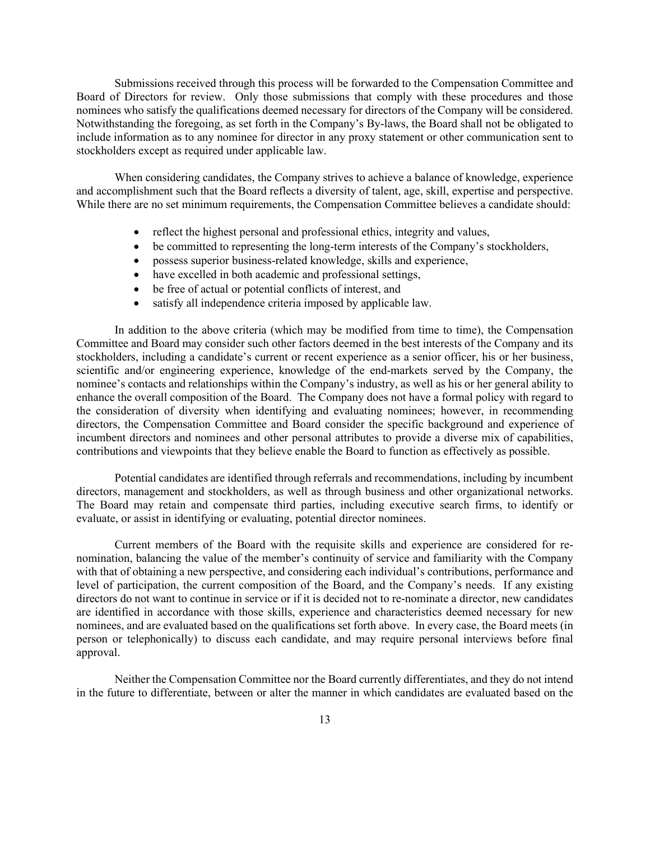Submissions received through this process will be forwarded to the Compensation Committee and Board of Directors for review. Only those submissions that comply with these procedures and those nominees who satisfy the qualifications deemed necessary for directors of the Company will be considered. Notwithstanding the foregoing, as set forth in the Company's By-laws, the Board shall not be obligated to include information as to any nominee for director in any proxy statement or other communication sent to stockholders except as required under applicable law.

When considering candidates, the Company strives to achieve a balance of knowledge, experience and accomplishment such that the Board reflects a diversity of talent, age, skill, expertise and perspective. While there are no set minimum requirements, the Compensation Committee believes a candidate should:

- reflect the highest personal and professional ethics, integrity and values,
- be committed to representing the long-term interests of the Company's stockholders,
- possess superior business-related knowledge, skills and experience,
- have excelled in both academic and professional settings,
- be free of actual or potential conflicts of interest, and
- satisfy all independence criteria imposed by applicable law.

In addition to the above criteria (which may be modified from time to time), the Compensation Committee and Board may consider such other factors deemed in the best interests of the Company and its stockholders, including a candidate's current or recent experience as a senior officer, his or her business, scientific and/or engineering experience, knowledge of the end-markets served by the Company, the nominee's contacts and relationships within the Company's industry, as well as his or her general ability to enhance the overall composition of the Board. The Company does not have a formal policy with regard to the consideration of diversity when identifying and evaluating nominees; however, in recommending directors, the Compensation Committee and Board consider the specific background and experience of incumbent directors and nominees and other personal attributes to provide a diverse mix of capabilities, contributions and viewpoints that they believe enable the Board to function as effectively as possible.

Potential candidates are identified through referrals and recommendations, including by incumbent directors, management and stockholders, as well as through business and other organizational networks. The Board may retain and compensate third parties, including executive search firms, to identify or evaluate, or assist in identifying or evaluating, potential director nominees.

Current members of the Board with the requisite skills and experience are considered for renomination, balancing the value of the member's continuity of service and familiarity with the Company with that of obtaining a new perspective, and considering each individual's contributions, performance and level of participation, the current composition of the Board, and the Company's needs. If any existing directors do not want to continue in service or if it is decided not to re-nominate a director, new candidates are identified in accordance with those skills, experience and characteristics deemed necessary for new nominees, and are evaluated based on the qualifications set forth above. In every case, the Board meets (in person or telephonically) to discuss each candidate, and may require personal interviews before final approval.

Neither the Compensation Committee nor the Board currently differentiates, and they do not intend in the future to differentiate, between or alter the manner in which candidates are evaluated based on the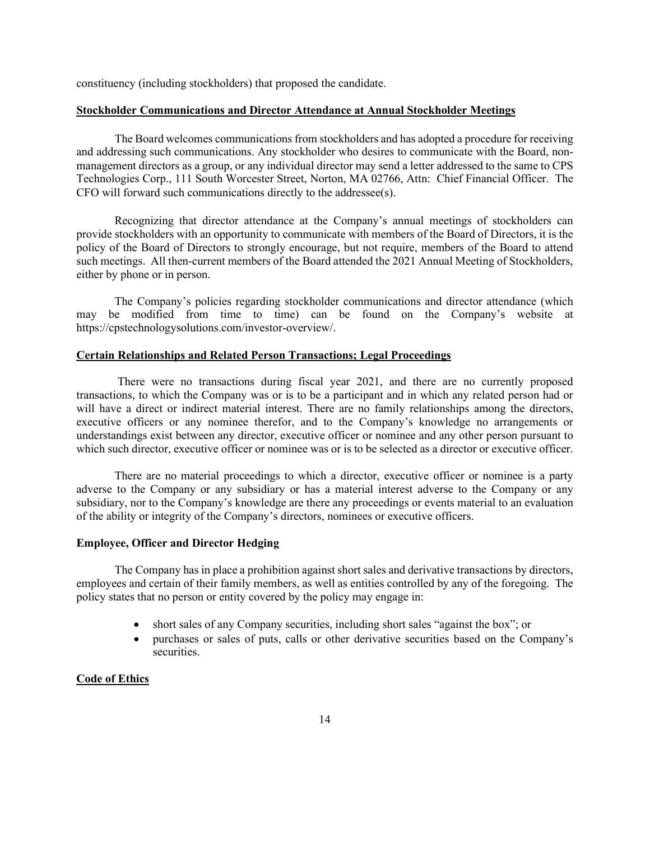constituency (including stockholders) that proposed the candidate.

## **Stockholder Communications and Director Attendance at Annual Stockholder Meetings**

The Board welcomes communications from stockholders and has adopted a procedure for receiving and addressing such communications. Any stockholder who desires to communicate with the Board, nonmanagement directors as a group, or any individual director may send a letter addressed to the same to CPS Technologies Corp., 111 South Worcester Street, Norton, MA 02766, Attn: Chief Financial Officer. The CFO will forward such communications directly to the addressee(s).

Recognizing that director attendance at the Company's annual meetings of stockholders can provide stockholders with an opportunity to communicate with members of the Board of Directors, it is the policy of the Board of Directors to strongly encourage, but not require, members of the Board to attend such meetings. All then-current members of the Board attended the 2021 Annual Meeting of Stockholders, either by phone or in person.

The Company's policies regarding stockholder communications and director attendance (which may be modified from time to time) can be found on the Company's website at https://cpstechnologysolutions.com/investor-overview/.

## **Certain Relationships and Related Person Transactions; Legal Proceedings**

There were no transactions during fiscal year 2021, and there are no currently proposed transactions, to which the Company was or is to be a participant and in which any related person had or will have a direct or indirect material interest. There are no family relationships among the directors, executive officers or any nominee therefor, and to the Company's knowledge no arrangements or understandings exist between any director, executive officer or nominee and any other person pursuant to which such director, executive officer or nominee was or is to be selected as a director or executive officer.

There are no material proceedings to which a director, executive officer or nominee is a party adverse to the Company or any subsidiary or has a material interest adverse to the Company or any subsidiary, nor to the Company's knowledge are there any proceedings or events material to an evaluation of the ability or integrity of the Company's directors, nominees or executive officers.

## **Employee, Officer and Director Hedging**

The Company has in place a prohibition against short sales and derivative transactions by directors, employees and certain of their family members, as well as entities controlled by any of the foregoing. The policy states that no person or entity covered by the policy may engage in:

- short sales of any Company securities, including short sales "against the box"; or
- purchases or sales of puts, calls or other derivative securities based on the Company's securities.

## **Code of Ethics**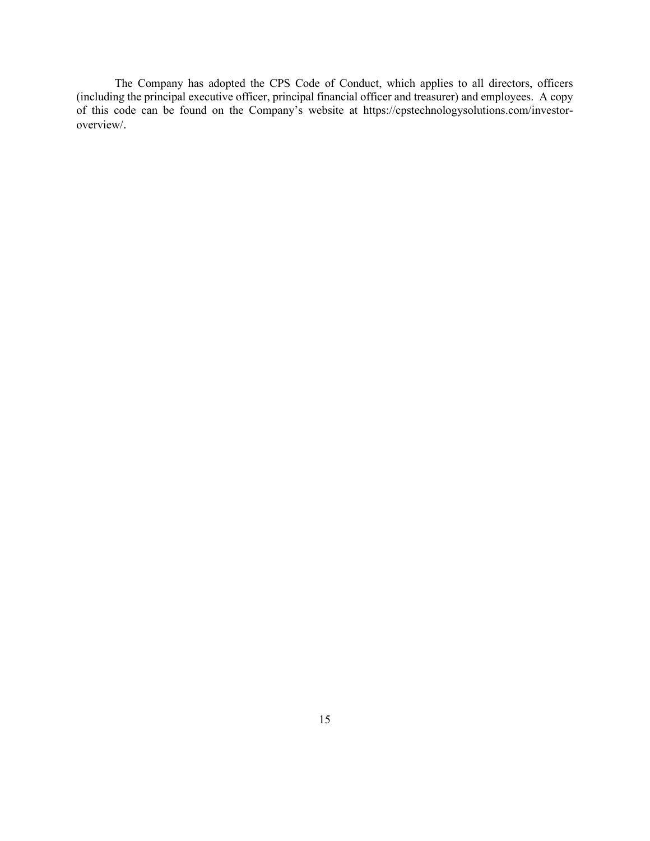The Company has adopted the CPS Code of Conduct, which applies to all directors, officers (including the principal executive officer, principal financial officer and treasurer) and employees. A copy of this code can be found on the Company's website at https://cpstechnologysolutions.com/investoroverview/.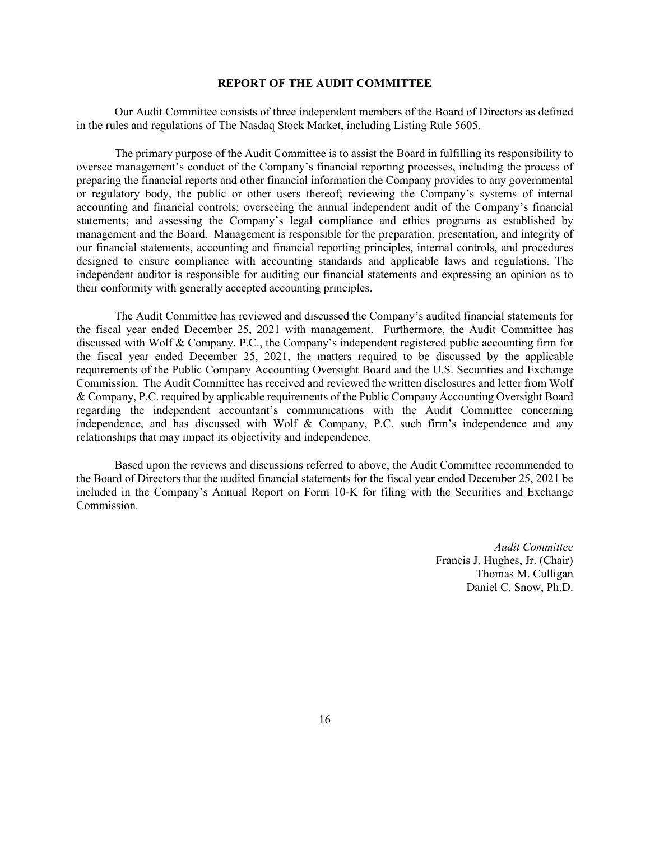### **REPORT OF THE AUDIT COMMITTEE**

Our Audit Committee consists of three independent members of the Board of Directors as defined in the rules and regulations of The Nasdaq Stock Market, including Listing Rule 5605.

The primary purpose of the Audit Committee is to assist the Board in fulfilling its responsibility to oversee management's conduct of the Company's financial reporting processes, including the process of preparing the financial reports and other financial information the Company provides to any governmental or regulatory body, the public or other users thereof; reviewing the Company's systems of internal accounting and financial controls; overseeing the annual independent audit of the Company's financial statements; and assessing the Company's legal compliance and ethics programs as established by management and the Board. Management is responsible for the preparation, presentation, and integrity of our financial statements, accounting and financial reporting principles, internal controls, and procedures designed to ensure compliance with accounting standards and applicable laws and regulations. The independent auditor is responsible for auditing our financial statements and expressing an opinion as to their conformity with generally accepted accounting principles.

The Audit Committee has reviewed and discussed the Company's audited financial statements for the fiscal year ended December 25, 2021 with management. Furthermore, the Audit Committee has discussed with Wolf & Company, P.C., the Company's independent registered public accounting firm for the fiscal year ended December 25, 2021, the matters required to be discussed by the applicable requirements of the Public Company Accounting Oversight Board and the U.S. Securities and Exchange Commission. The Audit Committee has received and reviewed the written disclosures and letter from Wolf & Company, P.C. required by applicable requirements of the Public Company Accounting Oversight Board regarding the independent accountant's communications with the Audit Committee concerning independence, and has discussed with Wolf & Company, P.C. such firm's independence and any relationships that may impact its objectivity and independence.

Based upon the reviews and discussions referred to above, the Audit Committee recommended to the Board of Directors that the audited financial statements for the fiscal year ended December 25, 2021 be included in the Company's Annual Report on Form 10-K for filing with the Securities and Exchange Commission.

> *Audit Committee* Francis J. Hughes, Jr. (Chair) Thomas M. Culligan Daniel C. Snow, Ph.D.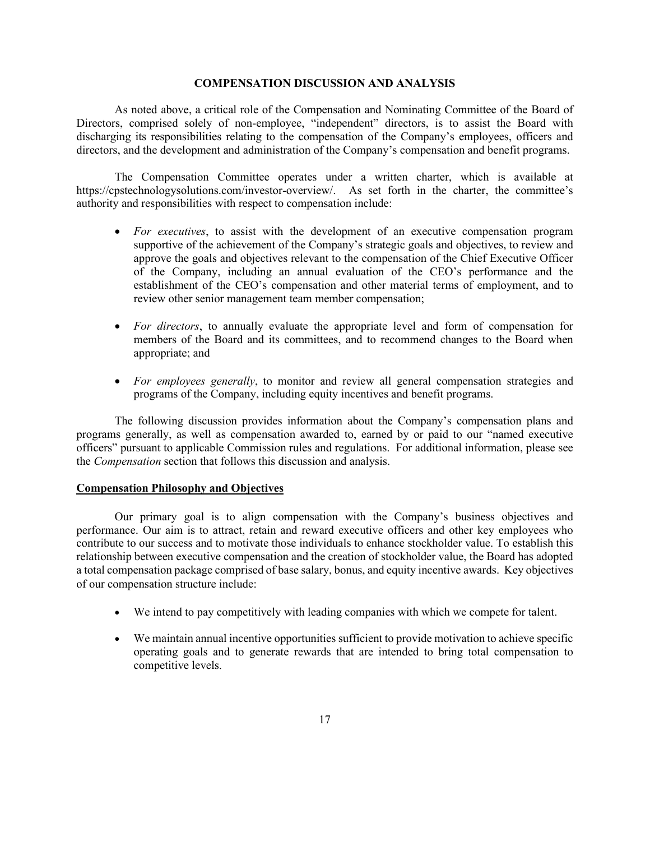### **COMPENSATION DISCUSSION AND ANALYSIS**

As noted above, a critical role of the Compensation and Nominating Committee of the Board of Directors, comprised solely of non-employee, "independent" directors, is to assist the Board with discharging its responsibilities relating to the compensation of the Company's employees, officers and directors, and the development and administration of the Company's compensation and benefit programs.

The Compensation Committee operates under a written charter, which is available at https://cpstechnologysolutions.com/investor-overview/. As set forth in the charter, the committee's authority and responsibilities with respect to compensation include:

- *For executives*, to assist with the development of an executive compensation program supportive of the achievement of the Company's strategic goals and objectives, to review and approve the goals and objectives relevant to the compensation of the Chief Executive Officer of the Company, including an annual evaluation of the CEO's performance and the establishment of the CEO's compensation and other material terms of employment, and to review other senior management team member compensation;
- *For directors*, to annually evaluate the appropriate level and form of compensation for members of the Board and its committees, and to recommend changes to the Board when appropriate; and
- *For employees generally*, to monitor and review all general compensation strategies and programs of the Company, including equity incentives and benefit programs.

The following discussion provides information about the Company's compensation plans and programs generally, as well as compensation awarded to, earned by or paid to our "named executive officers" pursuant to applicable Commission rules and regulations. For additional information, please see the *Compensation* section that follows this discussion and analysis.

#### **Compensation Philosophy and Objectives**

Our primary goal is to align compensation with the Company's business objectives and performance. Our aim is to attract, retain and reward executive officers and other key employees who contribute to our success and to motivate those individuals to enhance stockholder value. To establish this relationship between executive compensation and the creation of stockholder value, the Board has adopted a total compensation package comprised of base salary, bonus, and equity incentive awards. Key objectives of our compensation structure include:

- We intend to pay competitively with leading companies with which we compete for talent.
- We maintain annual incentive opportunities sufficient to provide motivation to achieve specific operating goals and to generate rewards that are intended to bring total compensation to competitive levels.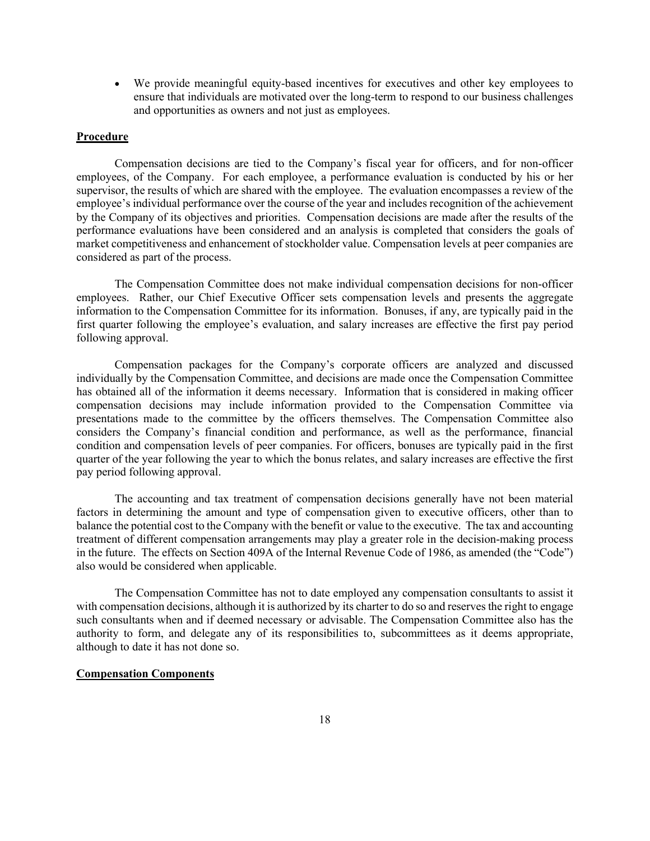• We provide meaningful equity-based incentives for executives and other key employees to ensure that individuals are motivated over the long-term to respond to our business challenges and opportunities as owners and not just as employees.

## **Procedure**

Compensation decisions are tied to the Company's fiscal year for officers, and for non-officer employees, of the Company. For each employee, a performance evaluation is conducted by his or her supervisor, the results of which are shared with the employee. The evaluation encompasses a review of the employee's individual performance over the course of the year and includes recognition of the achievement by the Company of its objectives and priorities. Compensation decisions are made after the results of the performance evaluations have been considered and an analysis is completed that considers the goals of market competitiveness and enhancement of stockholder value. Compensation levels at peer companies are considered as part of the process.

The Compensation Committee does not make individual compensation decisions for non-officer employees. Rather, our Chief Executive Officer sets compensation levels and presents the aggregate information to the Compensation Committee for its information. Bonuses, if any, are typically paid in the first quarter following the employee's evaluation, and salary increases are effective the first pay period following approval.

Compensation packages for the Company's corporate officers are analyzed and discussed individually by the Compensation Committee, and decisions are made once the Compensation Committee has obtained all of the information it deems necessary. Information that is considered in making officer compensation decisions may include information provided to the Compensation Committee via presentations made to the committee by the officers themselves. The Compensation Committee also considers the Company's financial condition and performance, as well as the performance, financial condition and compensation levels of peer companies. For officers, bonuses are typically paid in the first quarter of the year following the year to which the bonus relates, and salary increases are effective the first pay period following approval.

The accounting and tax treatment of compensation decisions generally have not been material factors in determining the amount and type of compensation given to executive officers, other than to balance the potential cost to the Company with the benefit or value to the executive. The tax and accounting treatment of different compensation arrangements may play a greater role in the decision-making process in the future. The effects on Section 409A of the Internal Revenue Code of 1986, as amended (the "Code") also would be considered when applicable.

The Compensation Committee has not to date employed any compensation consultants to assist it with compensation decisions, although it is authorized by its charter to do so and reserves the right to engage such consultants when and if deemed necessary or advisable. The Compensation Committee also has the authority to form, and delegate any of its responsibilities to, subcommittees as it deems appropriate, although to date it has not done so.

## **Compensation Components**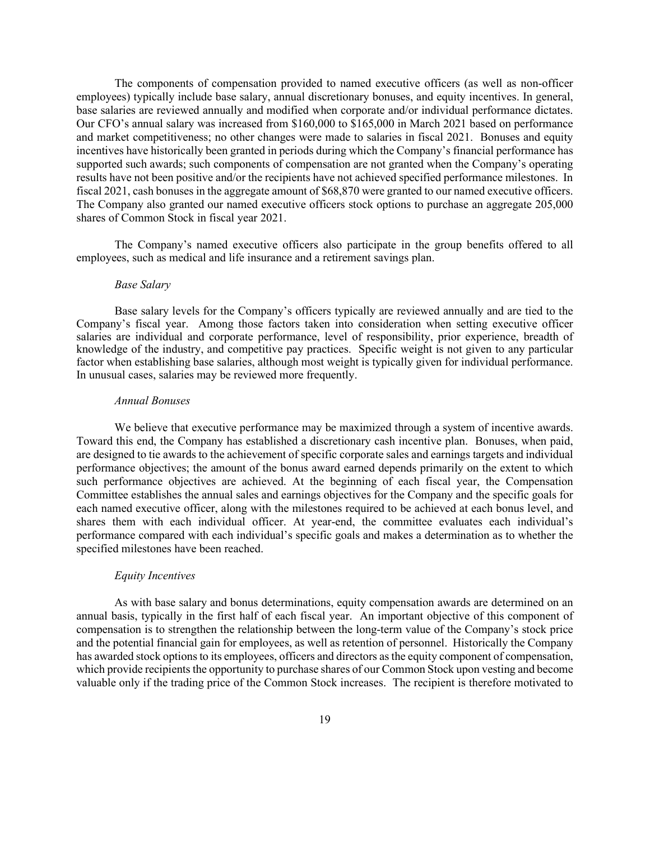The components of compensation provided to named executive officers (as well as non-officer employees) typically include base salary, annual discretionary bonuses, and equity incentives. In general, base salaries are reviewed annually and modified when corporate and/or individual performance dictates. Our CFO's annual salary was increased from \$160,000 to \$165,000 in March 2021 based on performance and market competitiveness; no other changes were made to salaries in fiscal 2021. Bonuses and equity incentives have historically been granted in periods during which the Company's financial performance has supported such awards; such components of compensation are not granted when the Company's operating results have not been positive and/or the recipients have not achieved specified performance milestones. In fiscal 2021, cash bonuses in the aggregate amount of \$68,870 were granted to our named executive officers. The Company also granted our named executive officers stock options to purchase an aggregate 205,000 shares of Common Stock in fiscal year 2021.

The Company's named executive officers also participate in the group benefits offered to all employees, such as medical and life insurance and a retirement savings plan.

### *Base Salary*

Base salary levels for the Company's officers typically are reviewed annually and are tied to the Company's fiscal year. Among those factors taken into consideration when setting executive officer salaries are individual and corporate performance, level of responsibility, prior experience, breadth of knowledge of the industry, and competitive pay practices. Specific weight is not given to any particular factor when establishing base salaries, although most weight is typically given for individual performance. In unusual cases, salaries may be reviewed more frequently.

#### *Annual Bonuses*

We believe that executive performance may be maximized through a system of incentive awards. Toward this end, the Company has established a discretionary cash incentive plan. Bonuses, when paid, are designed to tie awards to the achievement of specific corporate sales and earnings targets and individual performance objectives; the amount of the bonus award earned depends primarily on the extent to which such performance objectives are achieved. At the beginning of each fiscal year, the Compensation Committee establishes the annual sales and earnings objectives for the Company and the specific goals for each named executive officer, along with the milestones required to be achieved at each bonus level, and shares them with each individual officer. At year-end, the committee evaluates each individual's performance compared with each individual's specific goals and makes a determination as to whether the specified milestones have been reached.

## *Equity Incentives*

As with base salary and bonus determinations, equity compensation awards are determined on an annual basis, typically in the first half of each fiscal year. An important objective of this component of compensation is to strengthen the relationship between the long-term value of the Company's stock price and the potential financial gain for employees, as well as retention of personnel. Historically the Company has awarded stock options to its employees, officers and directors as the equity component of compensation, which provide recipients the opportunity to purchase shares of our Common Stock upon vesting and become valuable only if the trading price of the Common Stock increases. The recipient is therefore motivated to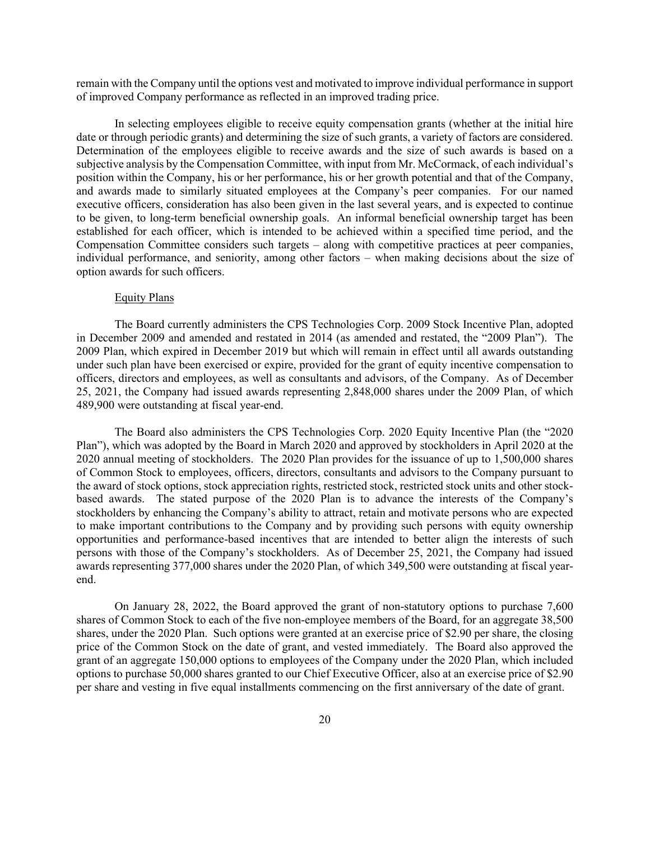remain with the Company until the options vest and motivated to improve individual performance in support of improved Company performance as reflected in an improved trading price.

In selecting employees eligible to receive equity compensation grants (whether at the initial hire date or through periodic grants) and determining the size of such grants, a variety of factors are considered. Determination of the employees eligible to receive awards and the size of such awards is based on a subjective analysis by the Compensation Committee, with input from Mr. McCormack, of each individual's position within the Company, his or her performance, his or her growth potential and that of the Company, and awards made to similarly situated employees at the Company's peer companies. For our named executive officers, consideration has also been given in the last several years, and is expected to continue to be given, to long-term beneficial ownership goals. An informal beneficial ownership target has been established for each officer, which is intended to be achieved within a specified time period, and the Compensation Committee considers such targets – along with competitive practices at peer companies, individual performance, and seniority, among other factors – when making decisions about the size of option awards for such officers.

### Equity Plans

The Board currently administers the CPS Technologies Corp. 2009 Stock Incentive Plan, adopted in December 2009 and amended and restated in 2014 (as amended and restated, the "2009 Plan"). The 2009 Plan, which expired in December 2019 but which will remain in effect until all awards outstanding under such plan have been exercised or expire, provided for the grant of equity incentive compensation to officers, directors and employees, as well as consultants and advisors, of the Company. As of December 25, 2021, the Company had issued awards representing 2,848,000 shares under the 2009 Plan, of which 489,900 were outstanding at fiscal year-end.

The Board also administers the CPS Technologies Corp. 2020 Equity Incentive Plan (the "2020 Plan"), which was adopted by the Board in March 2020 and approved by stockholders in April 2020 at the 2020 annual meeting of stockholders. The 2020 Plan provides for the issuance of up to 1,500,000 shares of Common Stock to employees, officers, directors, consultants and advisors to the Company pursuant to the award of stock options, stock appreciation rights, restricted stock, restricted stock units and other stockbased awards. The stated purpose of the 2020 Plan is to advance the interests of the Company's stockholders by enhancing the Company's ability to attract, retain and motivate persons who are expected to make important contributions to the Company and by providing such persons with equity ownership opportunities and performance-based incentives that are intended to better align the interests of such persons with those of the Company's stockholders. As of December 25, 2021, the Company had issued awards representing 377,000 shares under the 2020 Plan, of which 349,500 were outstanding at fiscal yearend.

On January 28, 2022, the Board approved the grant of non-statutory options to purchase 7,600 shares of Common Stock to each of the five non-employee members of the Board, for an aggregate 38,500 shares, under the 2020 Plan. Such options were granted at an exercise price of \$2.90 per share, the closing price of the Common Stock on the date of grant, and vested immediately. The Board also approved the grant of an aggregate 150,000 options to employees of the Company under the 2020 Plan, which included options to purchase 50,000 shares granted to our Chief Executive Officer, also at an exercise price of \$2.90 per share and vesting in five equal installments commencing on the first anniversary of the date of grant.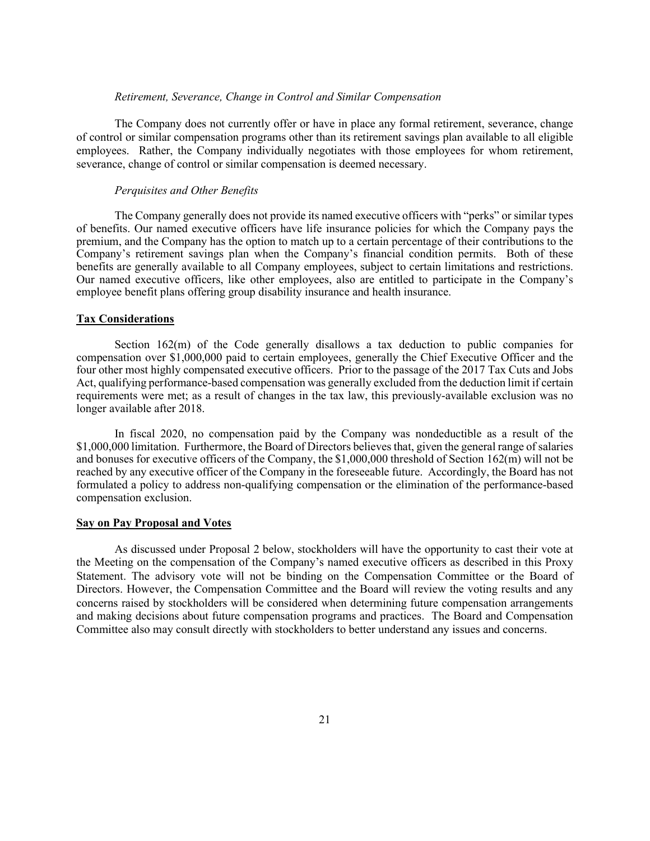### *Retirement, Severance, Change in Control and Similar Compensation*

The Company does not currently offer or have in place any formal retirement, severance, change of control or similar compensation programs other than its retirement savings plan available to all eligible employees. Rather, the Company individually negotiates with those employees for whom retirement, severance, change of control or similar compensation is deemed necessary.

### *Perquisites and Other Benefits*

The Company generally does not provide its named executive officers with "perks" or similar types of benefits. Our named executive officers have life insurance policies for which the Company pays the premium, and the Company has the option to match up to a certain percentage of their contributions to the Company's retirement savings plan when the Company's financial condition permits. Both of these benefits are generally available to all Company employees, subject to certain limitations and restrictions. Our named executive officers, like other employees, also are entitled to participate in the Company's employee benefit plans offering group disability insurance and health insurance.

#### **Tax Considerations**

Section 162(m) of the Code generally disallows a tax deduction to public companies for compensation over \$1,000,000 paid to certain employees, generally the Chief Executive Officer and the four other most highly compensated executive officers. Prior to the passage of the 2017 Tax Cuts and Jobs Act, qualifying performance-based compensation was generally excluded from the deduction limit if certain requirements were met; as a result of changes in the tax law, this previously-available exclusion was no longer available after 2018.

In fiscal 2020, no compensation paid by the Company was nondeductible as a result of the \$1,000,000 limitation. Furthermore, the Board of Directors believes that, given the general range of salaries and bonuses for executive officers of the Company, the \$1,000,000 threshold of Section 162(m) will not be reached by any executive officer of the Company in the foreseeable future. Accordingly, the Board has not formulated a policy to address non-qualifying compensation or the elimination of the performance-based compensation exclusion.

## **Say on Pay Proposal and Votes**

As discussed under Proposal 2 below, stockholders will have the opportunity to cast their vote at the Meeting on the compensation of the Company's named executive officers as described in this Proxy Statement. The advisory vote will not be binding on the Compensation Committee or the Board of Directors. However, the Compensation Committee and the Board will review the voting results and any concerns raised by stockholders will be considered when determining future compensation arrangements and making decisions about future compensation programs and practices. The Board and Compensation Committee also may consult directly with stockholders to better understand any issues and concerns.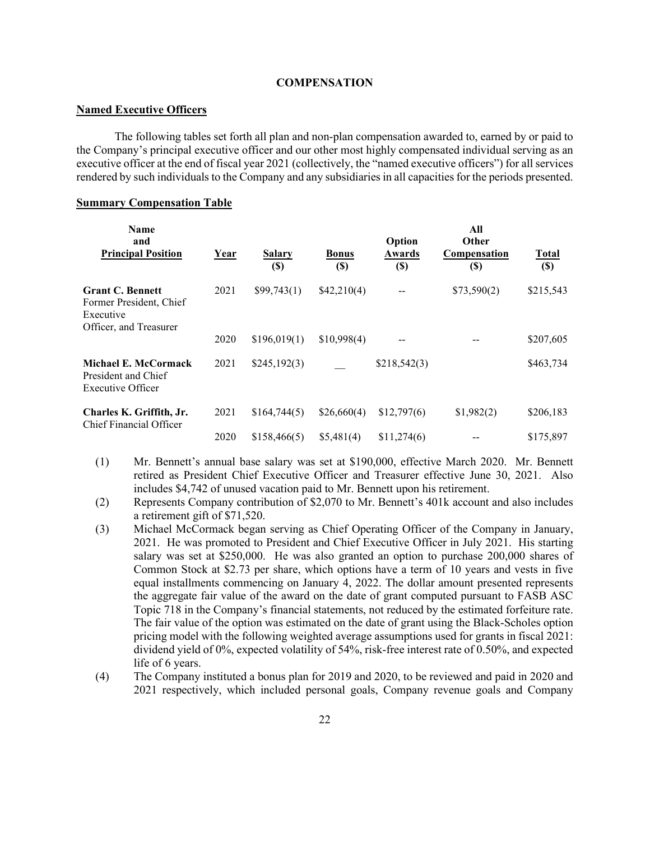## **COMPENSATION**

## **Named Executive Officers**

The following tables set forth all plan and non-plan compensation awarded to, earned by or paid to the Company's principal executive officer and our other most highly compensated individual serving as an executive officer at the end of fiscal year 2021 (collectively, the "named executive officers") for all services rendered by such individuals to the Company and any subsidiaries in all capacities for the periods presented.

## **Summary Compensation Table**

| Name<br>and<br><b>Principal Position</b>                                                  | <u>Year</u> | <b>Salary</b><br>$(\$)$ | <b>Bonus</b><br>$(\$)$ | Option<br>Awards<br>$(\$)$ | All<br>Other<br><b>Compensation</b><br>$\left( \mathbb{S}\right)$ | <b>Total</b><br>$(\$)$ |
|-------------------------------------------------------------------------------------------|-------------|-------------------------|------------------------|----------------------------|-------------------------------------------------------------------|------------------------|
| <b>Grant C. Bennett</b><br>Former President, Chief<br>Executive<br>Officer, and Treasurer | 2021        | \$99,743(1)             | \$42,210(4)            |                            | \$73,590(2)                                                       | \$215,543              |
|                                                                                           | 2020        | \$196,019(1)            | \$10,998(4)            |                            |                                                                   | \$207,605              |
| Michael E. McCormack<br>President and Chief<br>Executive Officer                          | 2021        | \$245,192(3)            |                        | \$218,542(3)               |                                                                   | \$463,734              |
| Charles K. Griffith, Jr.<br>Chief Financial Officer                                       | 2021        | \$164,744(5)            | \$26,660(4)            | \$12,797(6)                | \$1,982(2)                                                        | \$206,183              |
|                                                                                           | 2020        | \$158,466(5)            | \$5,481(4)             | \$11,274(6)                |                                                                   | \$175,897              |

- (1) Mr. Bennett's annual base salary was set at \$190,000, effective March 2020. Mr. Bennett retired as President Chief Executive Officer and Treasurer effective June 30, 2021. Also includes \$4,742 of unused vacation paid to Mr. Bennett upon his retirement.
- (2) Represents Company contribution of \$2,070 to Mr. Bennett's 401k account and also includes a retirement gift of \$71,520.
- (3) Michael McCormack began serving as Chief Operating Officer of the Company in January, 2021. He was promoted to President and Chief Executive Officer in July 2021. His starting salary was set at \$250,000. He was also granted an option to purchase 200,000 shares of Common Stock at \$2.73 per share, which options have a term of 10 years and vests in five equal installments commencing on January 4, 2022. The dollar amount presented represents the aggregate fair value of the award on the date of grant computed pursuant to FASB ASC Topic 718 in the Company's financial statements, not reduced by the estimated forfeiture rate. The fair value of the option was estimated on the date of grant using the Black-Scholes option pricing model with the following weighted average assumptions used for grants in fiscal 2021: dividend yield of 0%, expected volatility of 54%, risk-free interest rate of 0.50%, and expected life of 6 years.
- (4) The Company instituted a bonus plan for 2019 and 2020, to be reviewed and paid in 2020 and 2021 respectively, which included personal goals, Company revenue goals and Company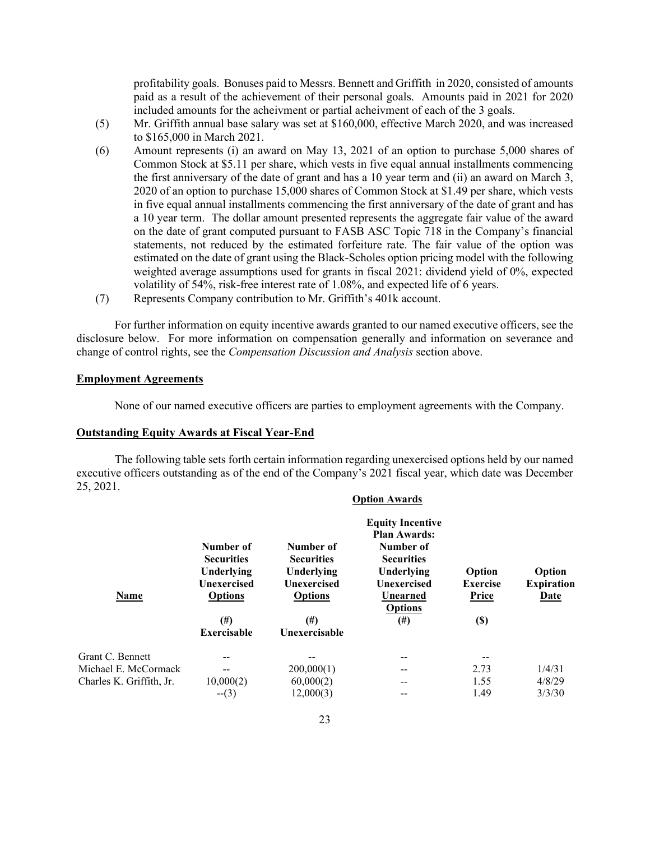profitability goals. Bonuses paid to Messrs. Bennett and Griffith in 2020, consisted of amounts paid as a result of the achievement of their personal goals. Amounts paid in 2021 for 2020 included amounts for the acheivment or partial acheivment of each of the 3 goals.

- (5) Mr. Griffith annual base salary was set at \$160,000, effective March 2020, and was increased to \$165,000 in March 2021.
- (6) Amount represents (i) an award on May 13, 2021 of an option to purchase 5,000 shares of Common Stock at \$5.11 per share, which vests in five equal annual installments commencing the first anniversary of the date of grant and has a 10 year term and (ii) an award on March 3, 2020 of an option to purchase 15,000 shares of Common Stock at \$1.49 per share, which vests in five equal annual installments commencing the first anniversary of the date of grant and has a 10 year term. The dollar amount presented represents the aggregate fair value of the award on the date of grant computed pursuant to FASB ASC Topic 718 in the Company's financial statements, not reduced by the estimated forfeiture rate. The fair value of the option was estimated on the date of grant using the Black-Scholes option pricing model with the following weighted average assumptions used for grants in fiscal 2021: dividend yield of 0%, expected volatility of 54%, risk-free interest rate of 1.08%, and expected life of 6 years.
- (7) Represents Company contribution to Mr. Griffith's 401k account.

For further information on equity incentive awards granted to our named executive officers, see the disclosure below. For more information on compensation generally and information on severance and change of control rights, see the *Compensation Discussion and Analysis* section above.

## **Employment Agreements**

None of our named executive officers are parties to employment agreements with the Company.

**Option Awards**

# **Outstanding Equity Awards at Fiscal Year-End**

The following table sets forth certain information regarding unexercised options held by our named executive officers outstanding as of the end of the Company's 2021 fiscal year, which date was December 25, 2021.

| Name                     | Number of<br>Number of<br><b>Securities</b><br><b>Securities</b><br>Underlying<br>Underlying<br><b>Unexercised</b><br><b>Unexercised</b><br><b>Options</b><br><b>Options</b> |                           | <b>Equity Incentive</b><br><b>Plan Awards:</b><br>Number of<br><b>Securities</b><br>Underlying<br>Unexercised<br>Unearned<br><b>Options</b> | Option<br><b>Exercise</b><br><b>Price</b> | Option<br><b>Expiration</b><br>Date |
|--------------------------|------------------------------------------------------------------------------------------------------------------------------------------------------------------------------|---------------------------|---------------------------------------------------------------------------------------------------------------------------------------------|-------------------------------------------|-------------------------------------|
|                          | $^{(#)}$<br><b>Exercisable</b>                                                                                                                                               | $^{(#)}$<br>Unexercisable | $^{(#)}$                                                                                                                                    | $\left( \mathbb{S}\right)$                |                                     |
| Grant C. Bennett         | --                                                                                                                                                                           |                           | --                                                                                                                                          |                                           |                                     |
| Michael E. McCormack     | --                                                                                                                                                                           | 200,000(1)                | $- -$                                                                                                                                       | 2.73                                      | 1/4/31                              |
| Charles K. Griffith, Jr. | 10,000(2)                                                                                                                                                                    | 60,000(2)                 | --                                                                                                                                          | 1.55                                      | 4/8/29                              |
|                          | $-(3)$                                                                                                                                                                       | 12,000(3)                 |                                                                                                                                             | 1.49                                      | 3/3/30                              |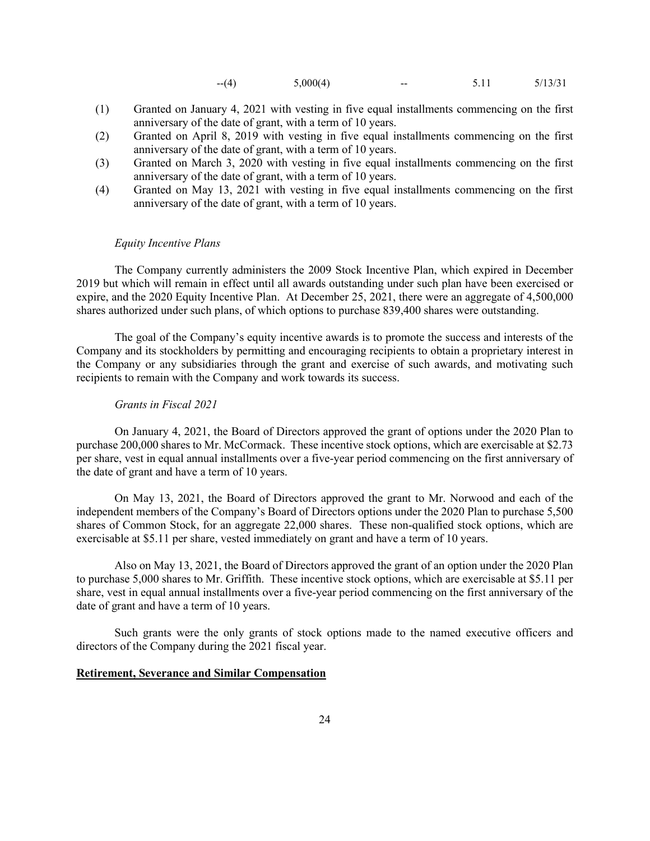$-(-4)$   $5,000(4)$   $5.11$   $5/13/31$ 

- (1) Granted on January 4, 2021 with vesting in five equal installments commencing on the first anniversary of the date of grant, with a term of 10 years.
- (2) Granted on April 8, 2019 with vesting in five equal installments commencing on the first anniversary of the date of grant, with a term of 10 years.
- (3) Granted on March 3, 2020 with vesting in five equal installments commencing on the first anniversary of the date of grant, with a term of 10 years.
- (4) Granted on May 13, 2021 with vesting in five equal installments commencing on the first anniversary of the date of grant, with a term of 10 years.

## *Equity Incentive Plans*

The Company currently administers the 2009 Stock Incentive Plan, which expired in December 2019 but which will remain in effect until all awards outstanding under such plan have been exercised or expire, and the 2020 Equity Incentive Plan. At December 25, 2021, there were an aggregate of 4,500,000 shares authorized under such plans, of which options to purchase 839,400 shares were outstanding.

The goal of the Company's equity incentive awards is to promote the success and interests of the Company and its stockholders by permitting and encouraging recipients to obtain a proprietary interest in the Company or any subsidiaries through the grant and exercise of such awards, and motivating such recipients to remain with the Company and work towards its success.

## *Grants in Fiscal 2021*

On January 4, 2021, the Board of Directors approved the grant of options under the 2020 Plan to purchase 200,000 shares to Mr. McCormack. These incentive stock options, which are exercisable at \$2.73 per share, vest in equal annual installments over a five-year period commencing on the first anniversary of the date of grant and have a term of 10 years.

On May 13, 2021, the Board of Directors approved the grant to Mr. Norwood and each of the independent members of the Company's Board of Directors options under the 2020 Plan to purchase 5,500 shares of Common Stock, for an aggregate 22,000 shares. These non-qualified stock options, which are exercisable at \$5.11 per share, vested immediately on grant and have a term of 10 years.

Also on May 13, 2021, the Board of Directors approved the grant of an option under the 2020 Plan to purchase 5,000 shares to Mr. Griffith. These incentive stock options, which are exercisable at \$5.11 per share, vest in equal annual installments over a five-year period commencing on the first anniversary of the date of grant and have a term of 10 years.

Such grants were the only grants of stock options made to the named executive officers and directors of the Company during the 2021 fiscal year.

## **Retirement, Severance and Similar Compensation**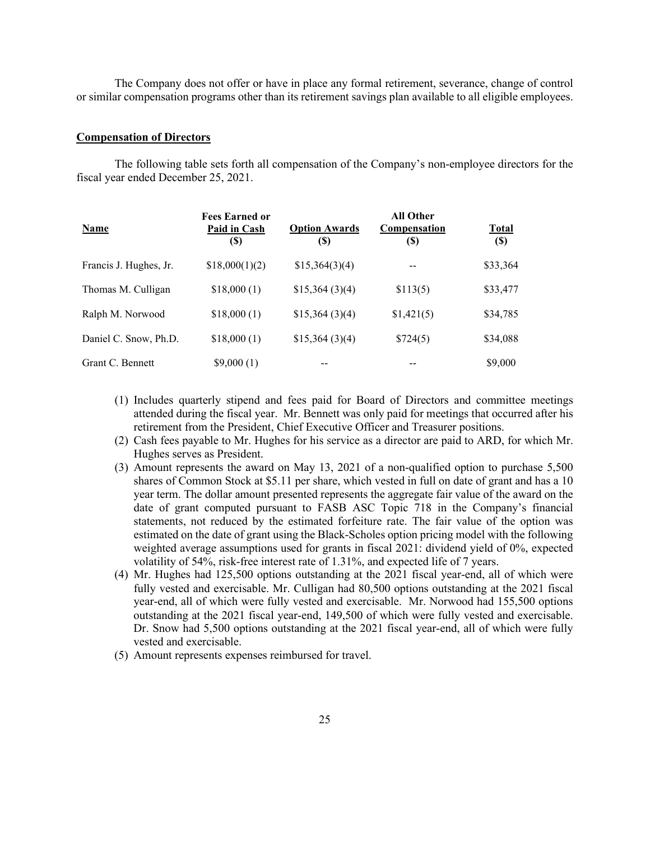The Company does not offer or have in place any formal retirement, severance, change of control or similar compensation programs other than its retirement savings plan available to all eligible employees.

## **Compensation of Directors**

The following table sets forth all compensation of the Company's non-employee directors for the fiscal year ended December 25, 2021.

| <b>Name</b>            | <b>Fees Earned or</b><br>Paid in Cash<br>(S) | <b>Option Awards</b><br>(\$) | <b>All Other</b><br><b>Compensation</b><br>(S) | <b>Total</b><br>$\left( \mathbb{S}\right)$ |
|------------------------|----------------------------------------------|------------------------------|------------------------------------------------|--------------------------------------------|
| Francis J. Hughes, Jr. | \$18,000(1)(2)                               | \$15,364(3)(4)               |                                                | \$33,364                                   |
| Thomas M. Culligan     | \$18,000(1)                                  | \$15,364(3)(4)               | \$113(5)                                       | \$33,477                                   |
| Ralph M. Norwood       | \$18,000(1)                                  | \$15,364(3)(4)               | \$1,421(5)                                     | \$34,785                                   |
| Daniel C. Snow, Ph.D.  | \$18,000(1)                                  | \$15,364(3)(4)               | \$724(5)                                       | \$34,088                                   |
| Grant C. Bennett       | \$9,000(1)                                   |                              |                                                | \$9,000                                    |

- (1) Includes quarterly stipend and fees paid for Board of Directors and committee meetings attended during the fiscal year. Mr. Bennett was only paid for meetings that occurred after his retirement from the President, Chief Executive Officer and Treasurer positions.
- (2) Cash fees payable to Mr. Hughes for his service as a director are paid to ARD, for which Mr. Hughes serves as President.
- (3) Amount represents the award on May 13, 2021 of a non-qualified option to purchase 5,500 shares of Common Stock at \$5.11 per share, which vested in full on date of grant and has a 10 year term. The dollar amount presented represents the aggregate fair value of the award on the date of grant computed pursuant to FASB ASC Topic 718 in the Company's financial statements, not reduced by the estimated forfeiture rate. The fair value of the option was estimated on the date of grant using the Black-Scholes option pricing model with the following weighted average assumptions used for grants in fiscal 2021: dividend yield of 0%, expected volatility of 54%, risk-free interest rate of 1.31%, and expected life of 7 years.
- (4) Mr. Hughes had 125,500 options outstanding at the 2021 fiscal year-end, all of which were fully vested and exercisable. Mr. Culligan had 80,500 options outstanding at the 2021 fiscal year-end, all of which were fully vested and exercisable. Mr. Norwood had 155,500 options outstanding at the 2021 fiscal year-end, 149,500 of which were fully vested and exercisable. Dr. Snow had 5,500 options outstanding at the 2021 fiscal year-end, all of which were fully vested and exercisable.
- (5) Amount represents expenses reimbursed for travel.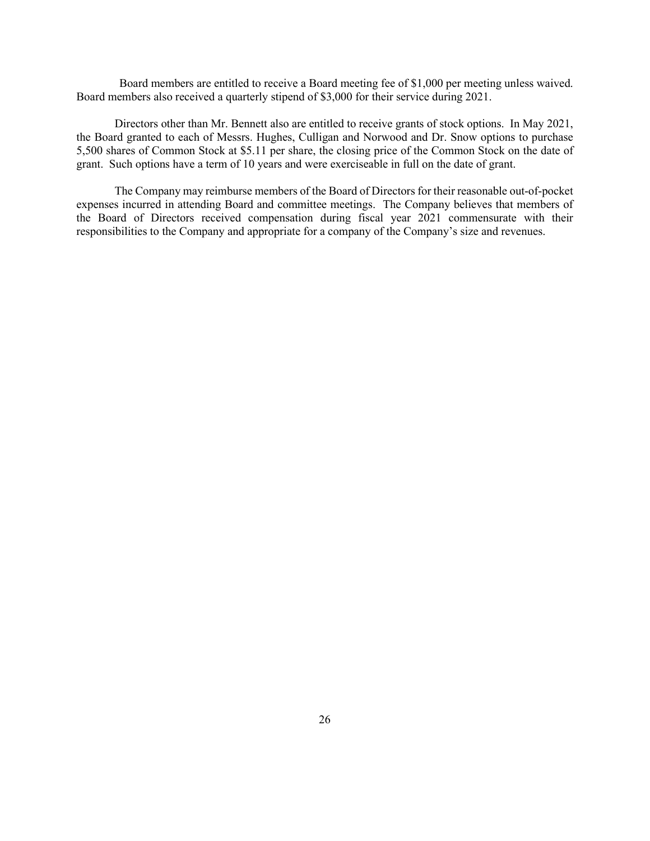Board members are entitled to receive a Board meeting fee of \$1,000 per meeting unless waived. Board members also received a quarterly stipend of \$3,000 for their service during 2021.

Directors other than Mr. Bennett also are entitled to receive grants of stock options. In May 2021, the Board granted to each of Messrs. Hughes, Culligan and Norwood and Dr. Snow options to purchase 5,500 shares of Common Stock at \$5.11 per share, the closing price of the Common Stock on the date of grant. Such options have a term of 10 years and were exerciseable in full on the date of grant.

The Company may reimburse members of the Board of Directors for their reasonable out-of-pocket expenses incurred in attending Board and committee meetings. The Company believes that members of the Board of Directors received compensation during fiscal year 2021 commensurate with their responsibilities to the Company and appropriate for a company of the Company's size and revenues.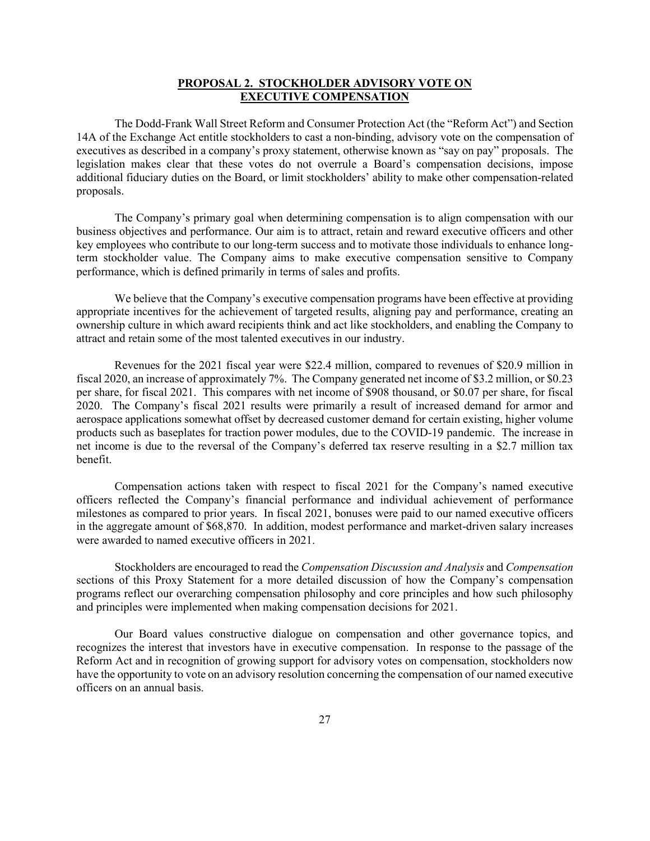## **PROPOSAL 2. STOCKHOLDER ADVISORY VOTE ON EXECUTIVE COMPENSATION**

The Dodd-Frank Wall Street Reform and Consumer Protection Act (the "Reform Act") and Section 14A of the Exchange Act entitle stockholders to cast a non-binding, advisory vote on the compensation of executives as described in a company's proxy statement, otherwise known as "say on pay" proposals. The legislation makes clear that these votes do not overrule a Board's compensation decisions, impose additional fiduciary duties on the Board, or limit stockholders' ability to make other compensation-related proposals.

The Company's primary goal when determining compensation is to align compensation with our business objectives and performance. Our aim is to attract, retain and reward executive officers and other key employees who contribute to our long-term success and to motivate those individuals to enhance longterm stockholder value. The Company aims to make executive compensation sensitive to Company performance, which is defined primarily in terms of sales and profits.

We believe that the Company's executive compensation programs have been effective at providing appropriate incentives for the achievement of targeted results, aligning pay and performance, creating an ownership culture in which award recipients think and act like stockholders, and enabling the Company to attract and retain some of the most talented executives in our industry.

Revenues for the 2021 fiscal year were \$22.4 million, compared to revenues of \$20.9 million in fiscal 2020, an increase of approximately 7%. The Company generated net income of \$3.2 million, or \$0.23 per share, for fiscal 2021. This compares with net income of \$908 thousand, or \$0.07 per share, for fiscal 2020. The Company's fiscal 2021 results were primarily a result of increased demand for armor and aerospace applications somewhat offset by decreased customer demand for certain existing, higher volume products such as baseplates for traction power modules, due to the COVID-19 pandemic. The increase in net income is due to the reversal of the Company's deferred tax reserve resulting in a \$2.7 million tax benefit.

Compensation actions taken with respect to fiscal 2021 for the Company's named executive officers reflected the Company's financial performance and individual achievement of performance milestones as compared to prior years. In fiscal 2021, bonuses were paid to our named executive officers in the aggregate amount of \$68,870. In addition, modest performance and market-driven salary increases were awarded to named executive officers in 2021.

Stockholders are encouraged to read the *Compensation Discussion and Analysis* and *Compensation* sections of this Proxy Statement for a more detailed discussion of how the Company's compensation programs reflect our overarching compensation philosophy and core principles and how such philosophy and principles were implemented when making compensation decisions for 2021.

Our Board values constructive dialogue on compensation and other governance topics, and recognizes the interest that investors have in executive compensation. In response to the passage of the Reform Act and in recognition of growing support for advisory votes on compensation, stockholders now have the opportunity to vote on an advisory resolution concerning the compensation of our named executive officers on an annual basis.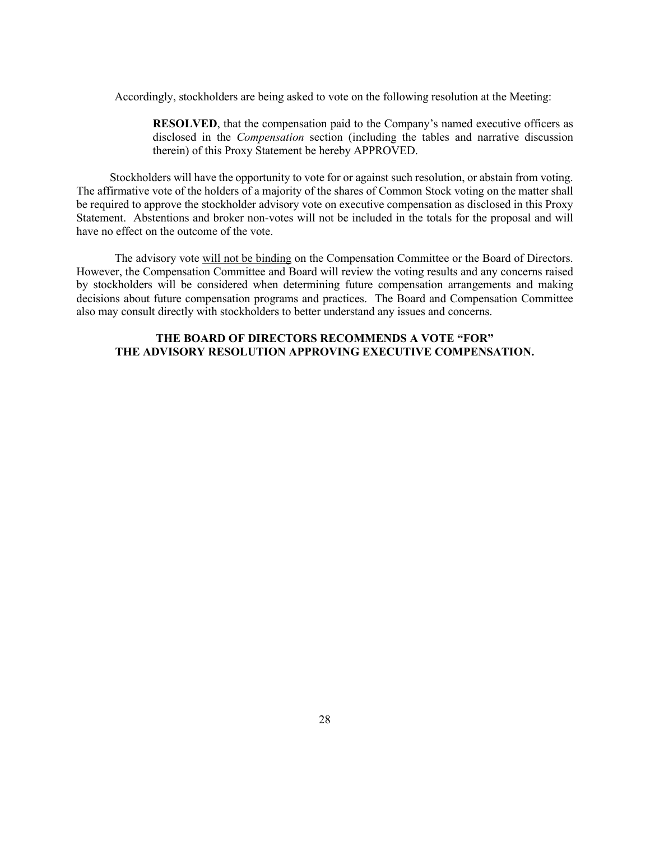Accordingly, stockholders are being asked to vote on the following resolution at the Meeting:

**RESOLVED**, that the compensation paid to the Company's named executive officers as disclosed in the *Compensation* section (including the tables and narrative discussion therein) of this Proxy Statement be hereby APPROVED.

Stockholders will have the opportunity to vote for or against such resolution, or abstain from voting. The affirmative vote of the holders of a majority of the shares of Common Stock voting on the matter shall be required to approve the stockholder advisory vote on executive compensation as disclosed in this Proxy Statement. Abstentions and broker non-votes will not be included in the totals for the proposal and will have no effect on the outcome of the vote.

The advisory vote will not be binding on the Compensation Committee or the Board of Directors. However, the Compensation Committee and Board will review the voting results and any concerns raised by stockholders will be considered when determining future compensation arrangements and making decisions about future compensation programs and practices. The Board and Compensation Committee also may consult directly with stockholders to better understand any issues and concerns.

# **THE BOARD OF DIRECTORS RECOMMENDS A VOTE "FOR" THE ADVISORY RESOLUTION APPROVING EXECUTIVE COMPENSATION.**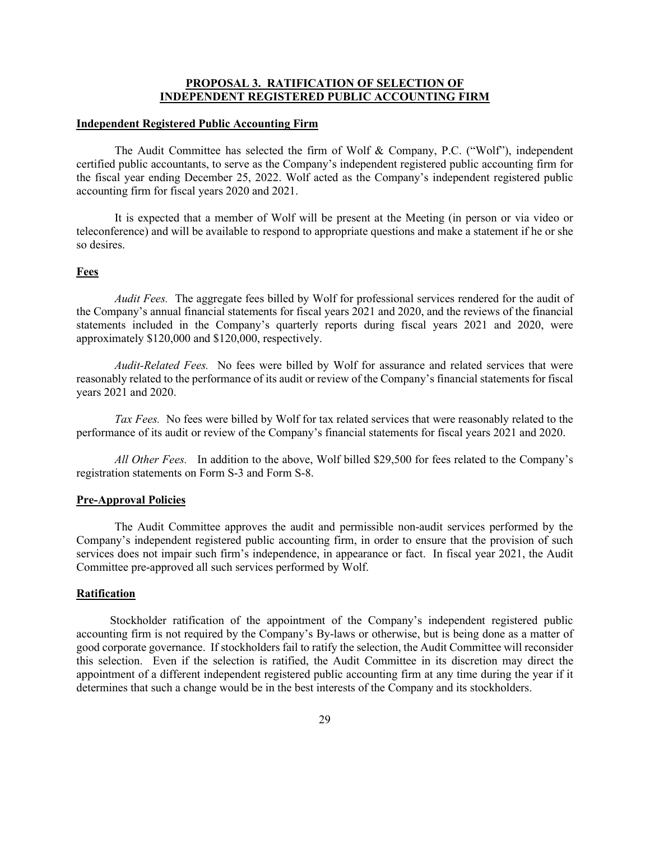# **PROPOSAL 3. RATIFICATION OF SELECTION OF INDEPENDENT REGISTERED PUBLIC ACCOUNTING FIRM**

### **Independent Registered Public Accounting Firm**

The Audit Committee has selected the firm of Wolf & Company, P.C. ("Wolf"), independent certified public accountants, to serve as the Company's independent registered public accounting firm for the fiscal year ending December 25, 2022. Wolf acted as the Company's independent registered public accounting firm for fiscal years 2020 and 2021.

It is expected that a member of Wolf will be present at the Meeting (in person or via video or teleconference) and will be available to respond to appropriate questions and make a statement if he or she so desires.

### **Fees**

*Audit Fees.* The aggregate fees billed by Wolf for professional services rendered for the audit of the Company's annual financial statements for fiscal years 2021 and 2020, and the reviews of the financial statements included in the Company's quarterly reports during fiscal years 2021 and 2020, were approximately \$120,000 and \$120,000, respectively.

*Audit-Related Fees.* No fees were billed by Wolf for assurance and related services that were reasonably related to the performance of its audit or review of the Company's financial statements for fiscal years 2021 and 2020.

*Tax Fees.* No fees were billed by Wolf for tax related services that were reasonably related to the performance of its audit or review of the Company's financial statements for fiscal years 2021 and 2020.

*All Other Fees.* In addition to the above, Wolf billed \$29,500 for fees related to the Company's registration statements on Form S-3 and Form S-8.

## **Pre-Approval Policies**

The Audit Committee approves the audit and permissible non-audit services performed by the Company's independent registered public accounting firm, in order to ensure that the provision of such services does not impair such firm's independence, in appearance or fact. In fiscal year 2021, the Audit Committee pre-approved all such services performed by Wolf.

## **Ratification**

Stockholder ratification of the appointment of the Company's independent registered public accounting firm is not required by the Company's By-laws or otherwise, but is being done as a matter of good corporate governance. If stockholders fail to ratify the selection, the Audit Committee will reconsider this selection. Even if the selection is ratified, the Audit Committee in its discretion may direct the appointment of a different independent registered public accounting firm at any time during the year if it determines that such a change would be in the best interests of the Company and its stockholders.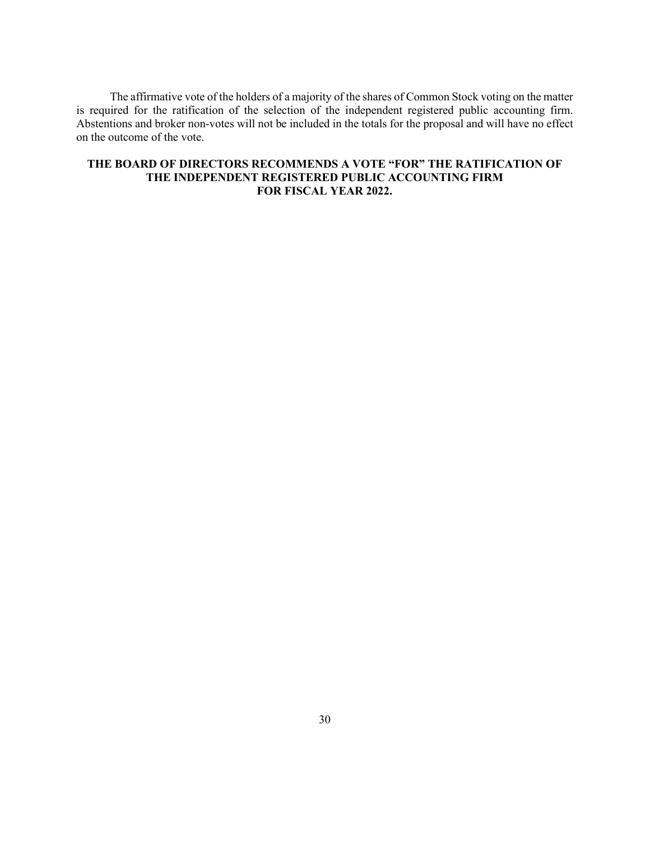The affirmative vote of the holders of a majority of the shares of Common Stock voting on the matter is required for the ratification of the selection of the independent registered public accounting firm. Abstentions and broker non-votes will not be included in the totals for the proposal and will have no effect on the outcome of the vote.

# **THE BOARD OF DIRECTORS RECOMMENDS A VOTE "FOR" THE RATIFICATION OF THE INDEPENDENT REGISTERED PUBLIC ACCOUNTING FIRM FOR FISCAL YEAR 2022.**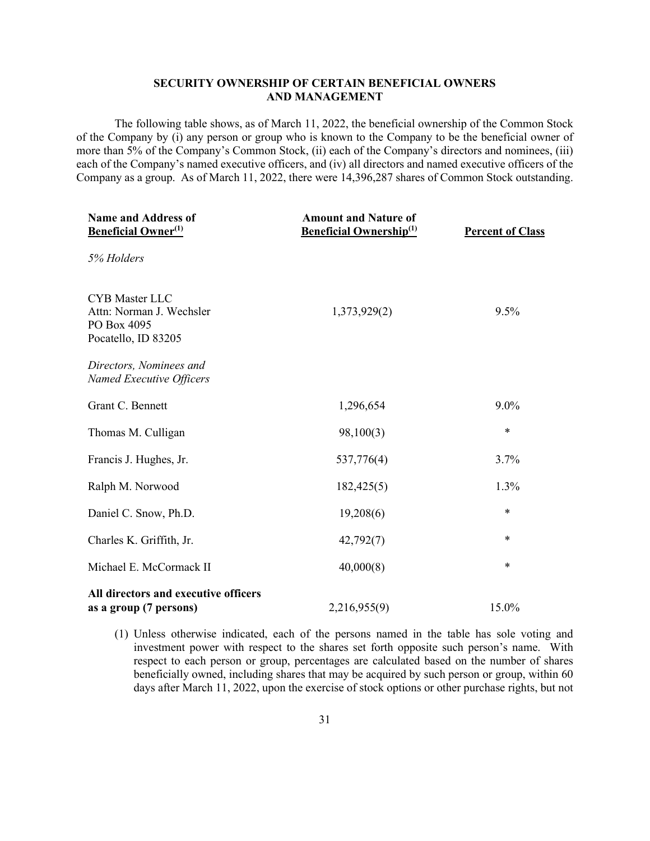## **SECURITY OWNERSHIP OF CERTAIN BENEFICIAL OWNERS AND MANAGEMENT**

The following table shows, as of March 11, 2022, the beneficial ownership of the Common Stock of the Company by (i) any person or group who is known to the Company to be the beneficial owner of more than 5% of the Company's Common Stock, (ii) each of the Company's directors and nominees, (iii) each of the Company's named executive officers, and (iv) all directors and named executive officers of the Company as a group. As of March 11, 2022, there were 14,396,287 shares of Common Stock outstanding.

| <b>Name and Address of</b><br><b>Beneficial Owner</b> <sup>(1)</sup>                    | <b>Amount and Nature of</b><br><b>Beneficial Ownership</b> <sup>(1)</sup> | <b>Percent of Class</b> |
|-----------------------------------------------------------------------------------------|---------------------------------------------------------------------------|-------------------------|
| 5% Holders                                                                              |                                                                           |                         |
| <b>CYB</b> Master LLC<br>Attn: Norman J. Wechsler<br>PO Box 4095<br>Pocatello, ID 83205 | 1,373,929(2)                                                              | 9.5%                    |
| Directors, Nominees and<br>Named Executive Officers                                     |                                                                           |                         |
| Grant C. Bennett                                                                        | 1,296,654                                                                 | $9.0\%$                 |
| Thomas M. Culligan                                                                      | 98,100(3)                                                                 | $\ast$                  |
| Francis J. Hughes, Jr.                                                                  | 537,776(4)                                                                | 3.7%                    |
| Ralph M. Norwood                                                                        | 182,425(5)                                                                | 1.3%                    |
| Daniel C. Snow, Ph.D.                                                                   | 19,208(6)                                                                 | *                       |
| Charles K. Griffith, Jr.                                                                | 42,792(7)                                                                 | $\ast$                  |
| Michael E. McCormack II                                                                 | 40,000(8)                                                                 | $\ast$                  |
| All directors and executive officers<br>as a group (7 persons)                          | 2,216,955(9)                                                              | 15.0%                   |

(1) Unless otherwise indicated, each of the persons named in the table has sole voting and investment power with respect to the shares set forth opposite such person's name. With respect to each person or group, percentages are calculated based on the number of shares beneficially owned, including shares that may be acquired by such person or group, within 60 days after March 11, 2022, upon the exercise of stock options or other purchase rights, but not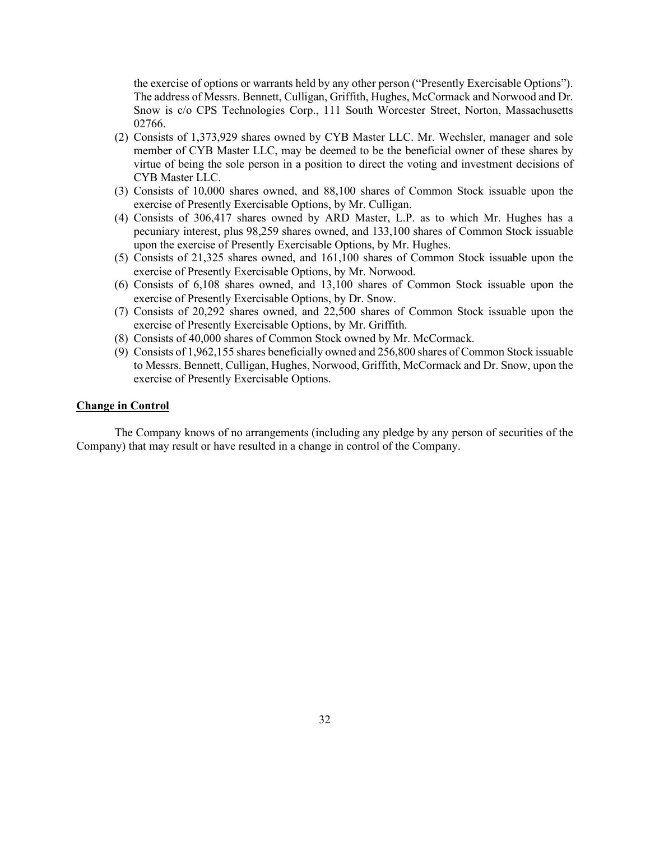the exercise of options or warrants held by any other person ("Presently Exercisable Options"). The address of Messrs. Bennett, Culligan, Griffith, Hughes, McCormack and Norwood and Dr. Snow is c/o CPS Technologies Corp., 111 South Worcester Street, Norton, Massachusetts 02766.

- (2) Consists of 1,373,929 shares owned by CYB Master LLC. Mr. Wechsler, manager and sole member of CYB Master LLC, may be deemed to be the beneficial owner of these shares by virtue of being the sole person in a position to direct the voting and investment decisions of CYB Master LLC.
- (3) Consists of 10,000 shares owned, and 88,100 shares of Common Stock issuable upon the exercise of Presently Exercisable Options, by Mr. Culligan.
- (4) Consists of 306,417 shares owned by ARD Master, L.P. as to which Mr. Hughes has a pecuniary interest, plus 98,259 shares owned, and 133,100 shares of Common Stock issuable upon the exercise of Presently Exercisable Options, by Mr. Hughes.
- (5) Consists of 21,325 shares owned, and 161,100 shares of Common Stock issuable upon the exercise of Presently Exercisable Options, by Mr. Norwood.
- (6) Consists of 6,108 shares owned, and 13,100 shares of Common Stock issuable upon the exercise of Presently Exercisable Options, by Dr. Snow.
- (7) Consists of 20,292 shares owned, and 22,500 shares of Common Stock issuable upon the exercise of Presently Exercisable Options, by Mr. Griffith.
- (8) Consists of 40,000 shares of Common Stock owned by Mr. McCormack.
- (9) Consists of 1,962,155 shares beneficially owned and 256,800 shares of Common Stock issuable to Messrs. Bennett, Culligan, Hughes, Norwood, Griffith, McCormack and Dr. Snow, upon the exercise of Presently Exercisable Options.

## **Change in Control**

The Company knows of no arrangements (including any pledge by any person of securities of the Company) that may result or have resulted in a change in control of the Company.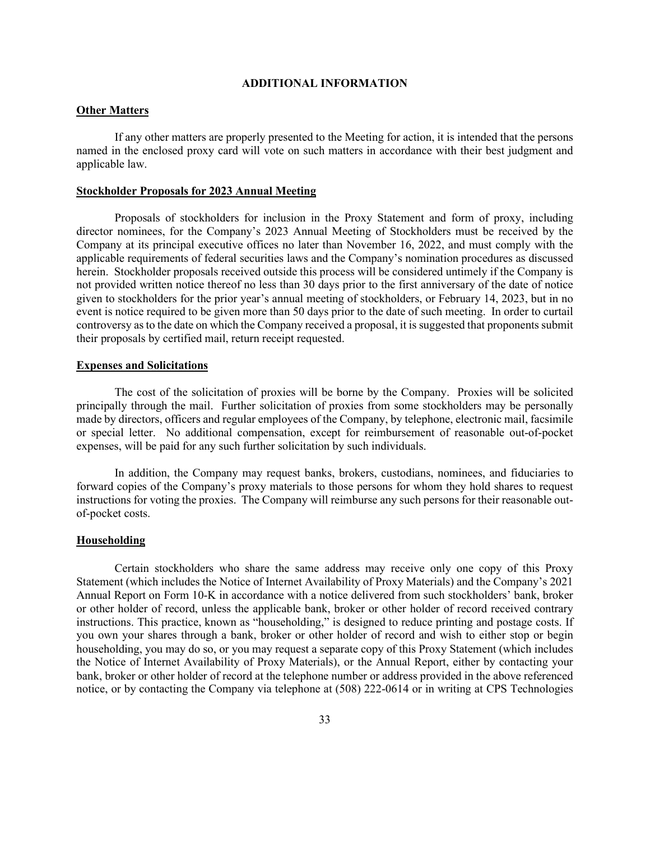## **ADDITIONAL INFORMATION**

## **Other Matters**

If any other matters are properly presented to the Meeting for action, it is intended that the persons named in the enclosed proxy card will vote on such matters in accordance with their best judgment and applicable law.

#### **Stockholder Proposals for 2023 Annual Meeting**

Proposals of stockholders for inclusion in the Proxy Statement and form of proxy, including director nominees, for the Company's 2023 Annual Meeting of Stockholders must be received by the Company at its principal executive offices no later than November 16, 2022, and must comply with the applicable requirements of federal securities laws and the Company's nomination procedures as discussed herein. Stockholder proposals received outside this process will be considered untimely if the Company is not provided written notice thereof no less than 30 days prior to the first anniversary of the date of notice given to stockholders for the prior year's annual meeting of stockholders, or February 14, 2023, but in no event is notice required to be given more than 50 days prior to the date of such meeting. In order to curtail controversy as to the date on which the Company received a proposal, it is suggested that proponents submit their proposals by certified mail, return receipt requested.

## **Expenses and Solicitations**

The cost of the solicitation of proxies will be borne by the Company. Proxies will be solicited principally through the mail. Further solicitation of proxies from some stockholders may be personally made by directors, officers and regular employees of the Company, by telephone, electronic mail, facsimile or special letter. No additional compensation, except for reimbursement of reasonable out-of-pocket expenses, will be paid for any such further solicitation by such individuals.

In addition, the Company may request banks, brokers, custodians, nominees, and fiduciaries to forward copies of the Company's proxy materials to those persons for whom they hold shares to request instructions for voting the proxies. The Company will reimburse any such persons for their reasonable outof-pocket costs.

## **Householding**

Certain stockholders who share the same address may receive only one copy of this Proxy Statement (which includes the Notice of Internet Availability of Proxy Materials) and the Company's 2021 Annual Report on Form 10-K in accordance with a notice delivered from such stockholders' bank, broker or other holder of record, unless the applicable bank, broker or other holder of record received contrary instructions. This practice, known as "householding," is designed to reduce printing and postage costs. If you own your shares through a bank, broker or other holder of record and wish to either stop or begin householding, you may do so, or you may request a separate copy of this Proxy Statement (which includes the Notice of Internet Availability of Proxy Materials), or the Annual Report, either by contacting your bank, broker or other holder of record at the telephone number or address provided in the above referenced notice, or by contacting the Company via telephone at (508) 222-0614 or in writing at CPS Technologies